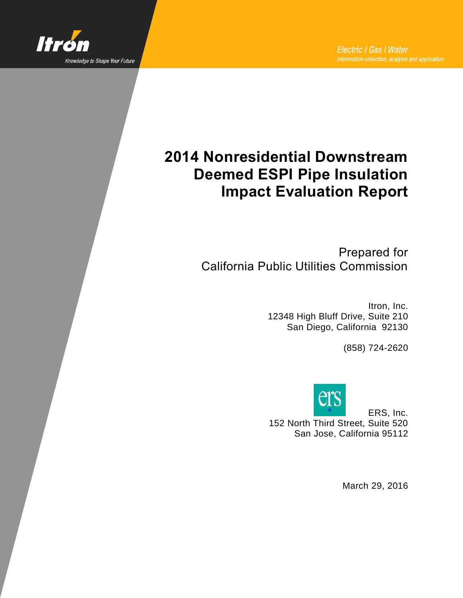

# **2014 Nonresidential Downstream Deemed ESPI Pipe Insulation Impact Evaluation Report**

Prepared for California Public Utilities Commission

> Itron, Inc. 12348 High Bluff Drive, Suite 210 San Diego, California 92130

> > (858) 724-2620



ERS, Inc. 152 North Third Street, Suite 520 San Jose, California 95112

March 29, 2016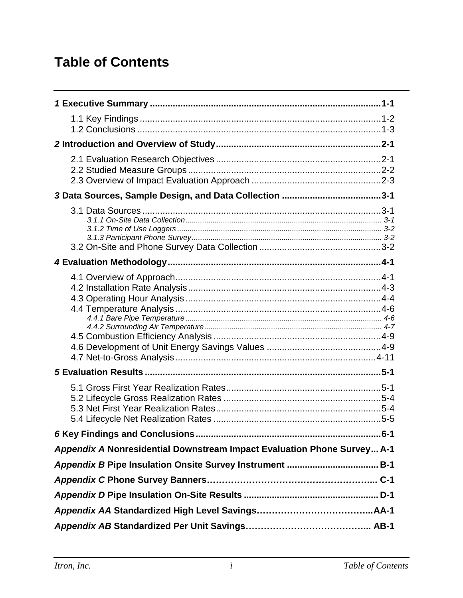# **Table of Contents**

| $.6 - 1$                                                                |
|-------------------------------------------------------------------------|
| Appendix A Nonresidential Downstream Impact Evaluation Phone Survey A-1 |
|                                                                         |
|                                                                         |
|                                                                         |
|                                                                         |
|                                                                         |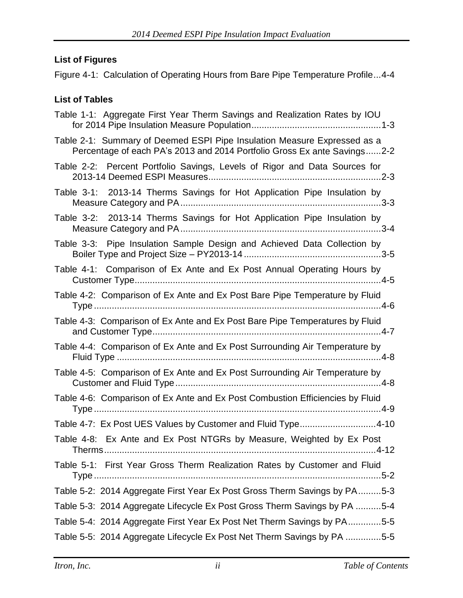### **List of Figures**

[Figure 4-1: Calculation of Operating Hours from Bare Pipe Temperature Profile...4-4](#page-20-1)

### **List of Tables**

| Table 1-1: Aggregate First Year Therm Savings and Realization Rates by IOU                                                                           |
|------------------------------------------------------------------------------------------------------------------------------------------------------|
| Table 2-1: Summary of Deemed ESPI Pipe Insulation Measure Expressed as a<br>Percentage of each PA's 2013 and 2014 Portfolio Gross Ex ante Savings2-2 |
| Table 2-2: Percent Portfolio Savings, Levels of Rigor and Data Sources for                                                                           |
| Table 3-1: 2013-14 Therms Savings for Hot Application Pipe Insulation by                                                                             |
| Table 3-2: 2013-14 Therms Savings for Hot Application Pipe Insulation by                                                                             |
| Table 3-3: Pipe Insulation Sample Design and Achieved Data Collection by                                                                             |
| Table 4-1: Comparison of Ex Ante and Ex Post Annual Operating Hours by                                                                               |
| Table 4-2: Comparison of Ex Ante and Ex Post Bare Pipe Temperature by Fluid                                                                          |
| Table 4-3: Comparison of Ex Ante and Ex Post Bare Pipe Temperatures by Fluid                                                                         |
| Table 4-4: Comparison of Ex Ante and Ex Post Surrounding Air Temperature by                                                                          |
| Table 4-5: Comparison of Ex Ante and Ex Post Surrounding Air Temperature by                                                                          |
| Table 4-6: Comparison of Ex Ante and Ex Post Combustion Efficiencies by Fluid                                                                        |
| Table 4-7: Ex Post UES Values by Customer and Fluid Type4-10                                                                                         |
| Table 4-8: Ex Ante and Ex Post NTGRs by Measure, Weighted by Ex Post                                                                                 |
| Table 5-1: First Year Gross Therm Realization Rates by Customer and Fluid                                                                            |
| Table 5-2: 2014 Aggregate First Year Ex Post Gross Therm Savings by PA5-3                                                                            |
| Table 5-3: 2014 Aggregate Lifecycle Ex Post Gross Therm Savings by PA 5-4                                                                            |
| Table 5-4: 2014 Aggregate First Year Ex Post Net Therm Savings by PA5-5                                                                              |
| Table 5-5: 2014 Aggregate Lifecycle Ex Post Net Therm Savings by PA 5-5                                                                              |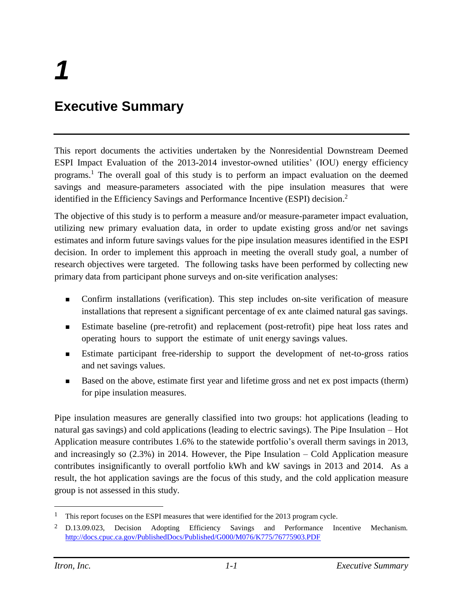# <span id="page-3-0"></span>**Executive Summary**

This report documents the activities undertaken by the Nonresidential Downstream Deemed ESPI Impact Evaluation of the 2013-2014 investor-owned utilities' (IOU) energy efficiency programs. <sup>1</sup> The overall goal of this study is to perform an impact evaluation on the deemed savings and measure-parameters associated with the pipe insulation measures that were identified in the Efficiency Savings and Performance Incentive (ESPI) decision.<sup>2</sup>

The objective of this study is to perform a measure and/or measure-parameter impact evaluation, utilizing new primary evaluation data, in order to update existing gross and/or net savings estimates and inform future savings values for the pipe insulation measures identified in the ESPI decision. In order to implement this approach in meeting the overall study goal, a number of research objectives were targeted. The following tasks have been performed by collecting new primary data from participant phone surveys and on-site verification analyses:

- Confirm installations (verification). This step includes on-site verification of measure installations that represent a significant percentage of ex ante claimed natural gas savings.
- Estimate baseline (pre-retrofit) and replacement (post-retrofit) pipe heat loss rates and operating hours to support the estimate of unit energy savings values.
- **Estimate participant free-ridership to support the development of net-to-gross ratios** and net savings values.
- Based on the above, estimate first year and lifetime gross and net ex post impacts (therm) for pipe insulation measures.

Pipe insulation measures are generally classified into two groups: hot applications (leading to natural gas savings) and cold applications (leading to electric savings). The Pipe Insulation – Hot Application measure contributes 1.6% to the statewide portfolio's overall therm savings in 2013, and increasingly so (2.3%) in 2014. However, the Pipe Insulation – Cold Application measure contributes insignificantly to overall portfolio kWh and kW savings in 2013 and 2014. As a result, the hot application savings are the focus of this study, and the cold application measure group is not assessed in this study.

<sup>&</sup>lt;sup>1</sup> This report focuses on the ESPI measures that were identified for the 2013 program cycle.

<sup>2</sup> D.13.09.023, Decision Adopting Efficiency Savings and Performance Incentive Mechanism[.](http://docs.cpuc.ca.gov/PublishedDocs/Published/G000/M076/K775/76775903.PDF) <http://docs.cpuc.ca.gov/PublishedDocs/Published/G000/M076/K775/76775903.PDF>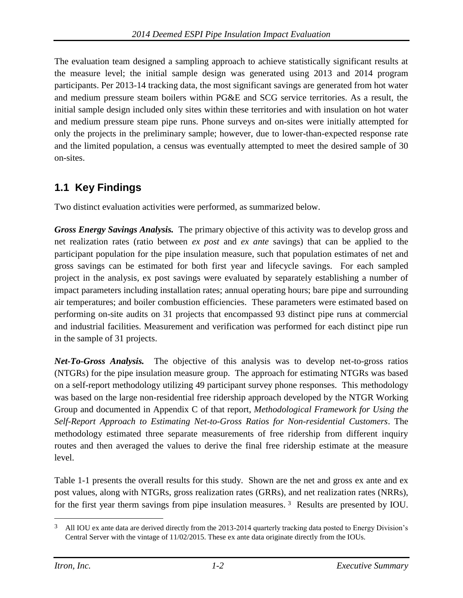The evaluation team designed a sampling approach to achieve statistically significant results at the measure level; the initial sample design was generated using 2013 and 2014 program participants. Per 2013-14 tracking data, the most significant savings are generated from hot water and medium pressure steam boilers within PG&E and SCG service territories. As a result, the initial sample design included only sites within these territories and with insulation on hot water and medium pressure steam pipe runs. Phone surveys and on-sites were initially attempted for only the projects in the preliminary sample; however, due to lower-than-expected response rate and the limited population, a census was eventually attempted to meet the desired sample of 30 on-sites.

## <span id="page-4-0"></span>**1.1 Key Findings**

Two distinct evaluation activities were performed, as summarized below.

*Gross Energy Savings Analysis.* The primary objective of this activity was to develop gross and net realization rates (ratio between *ex post* and *ex ante* savings) that can be applied to the participant population for the pipe insulation measure, such that population estimates of net and gross savings can be estimated for both first year and lifecycle savings. For each sampled project in the analysis, ex post savings were evaluated by separately establishing a number of impact parameters including installation rates; annual operating hours; bare pipe and surrounding air temperatures; and boiler combustion efficiencies. These parameters were estimated based on performing on-site audits on 31 projects that encompassed 93 distinct pipe runs at commercial and industrial facilities. Measurement and verification was performed for each distinct pipe run in the sample of 31 projects.

*Net-To-Gross Analysis.* The objective of this analysis was to develop net-to-gross ratios (NTGRs) for the pipe insulation measure group. The approach for estimating NTGRs was based on a self-report methodology utilizing 49 participant survey phone responses. This methodology was based on the large non-residential free ridership approach developed by the NTGR Working Group and documented in Appendix C of that report, *Methodological Framework for Using the Self-Report Approach to Estimating Net-to-Gross Ratios for Non-residential Customers*. The methodology estimated three separate measurements of free ridership from different inquiry routes and then averaged the values to derive the final free ridership estimate at the measure level.

[Table 1-1](#page-5-1) presents the overall results for this study. Shown are the net and gross ex ante and ex post values, along with NTGRs, gross realization rates (GRRs), and net realization rates (NRRs), for the first year therm savings from pipe insulation measures. <sup>3</sup> Results are presented by IOU.

<sup>&</sup>lt;sup>3</sup> All IOU ex ante data are derived directly from the 2013-2014 quarterly tracking data posted to Energy Division's Central Server with the vintage of 11/02/2015. These ex ante data originate directly from the IOUs.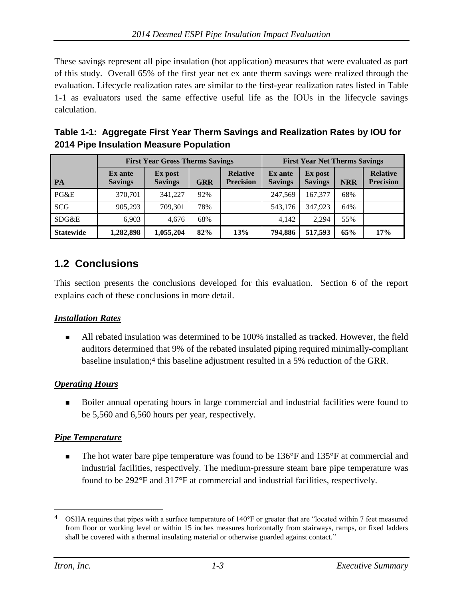These savings represent all pipe insulation (hot application) measures that were evaluated as part of this study. Overall 65% of the first year net ex ante therm savings were realized through the evaluation. Lifecycle realization rates are similar to the first-year realization rates listed in [Table](#page-5-1)  [1-1](#page-5-1) as evaluators used the same effective useful life as the IOUs in the lifecycle savings calculation.

<span id="page-5-1"></span>

| Table 1-1: Aggregate First Year Therm Savings and Realization Rates by IOU for |
|--------------------------------------------------------------------------------|
| 2014 Pipe Insulation Measure Population                                        |

|                  | <b>First Year Gross Therms Savings</b> |                           |            |                                     | <b>First Year Net Therms Savings</b> |                           |            |                                     |
|------------------|----------------------------------------|---------------------------|------------|-------------------------------------|--------------------------------------|---------------------------|------------|-------------------------------------|
| PA               | <b>Ex</b> ante<br><b>Savings</b>       | Ex post<br><b>Savings</b> | <b>GRR</b> | <b>Relative</b><br><b>Precision</b> | <b>Ex</b> ante<br><b>Savings</b>     | Ex post<br><b>Savings</b> | <b>NRR</b> | <b>Relative</b><br><b>Precision</b> |
| PG&E             | 370,701                                | 341,227                   | 92%        |                                     | 247.569                              | 167.377                   | 68%        |                                     |
| <b>SCG</b>       | 905,293                                | 709.301                   | 78%        |                                     | 543,176                              | 347.923                   | 64%        |                                     |
| SDG&E            | 6.903                                  | 4.676                     | 68%        |                                     | 4,142                                | 2.294                     | 55%        |                                     |
| <b>Statewide</b> | 1,282,898                              | 1,055,204                 | 82%        | 13%                                 | 794,886                              | 517,593                   | 65%        | 17%                                 |

## <span id="page-5-0"></span>**1.2 Conclusions**

This section presents the conclusions developed for this evaluation. Section 6 of the report explains each of these conclusions in more detail.

#### *Installation Rates*

 All rebated insulation was determined to be 100% installed as tracked. However, the field auditors determined that 9% of the rebated insulated piping required minimally-compliant baseline insulation; <sup>4</sup> this baseline adjustment resulted in a 5% reduction of the GRR.

#### *Operating Hours*

 Boiler annual operating hours in large commercial and industrial facilities were found to be 5,560 and 6,560 hours per year, respectively.

#### *Pipe Temperature*

 The hot water bare pipe temperature was found to be 136°F and 135°F at commercial and industrial facilities, respectively. The medium-pressure steam bare pipe temperature was found to be 292°F and 317°F at commercial and industrial facilities, respectively.

<sup>&</sup>lt;sup>4</sup> OSHA requires that pipes with a surface temperature of 140°F or greater that are "located within 7 feet measured from floor or working level or within 15 inches measures horizontally from stairways, ramps, or fixed ladders shall be covered with a thermal insulating material or otherwise guarded against contact."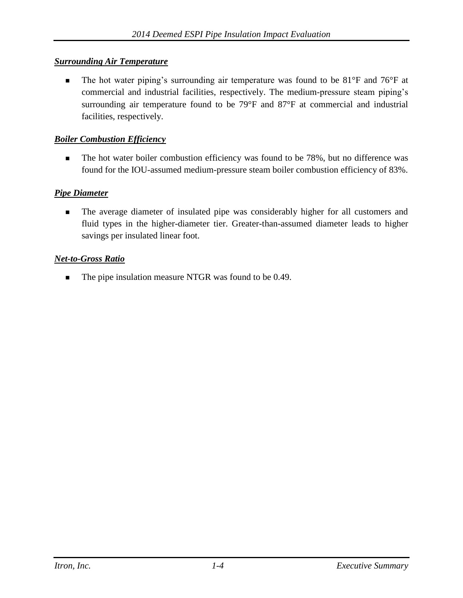#### *Surrounding Air Temperature*

■ The hot water piping's surrounding air temperature was found to be 81°F and 76°F at commercial and industrial facilities, respectively. The medium-pressure steam piping's surrounding air temperature found to be 79°F and 87°F at commercial and industrial facilities, respectively.

#### *Boiler Combustion Efficiency*

The hot water boiler combustion efficiency was found to be 78%, but no difference was found for the IOU-assumed medium-pressure steam boiler combustion efficiency of 83%.

#### *Pipe Diameter*

 The average diameter of insulated pipe was considerably higher for all customers and fluid types in the higher-diameter tier. Greater-than-assumed diameter leads to higher savings per insulated linear foot.

#### *Net-to-Gross Ratio*

■ The pipe insulation measure NTGR was found to be 0.49.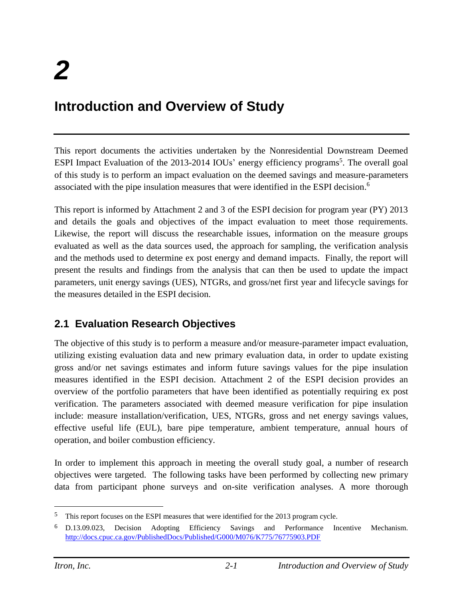# <span id="page-7-0"></span>**Introduction and Overview of Study**

This report documents the activities undertaken by the Nonresidential Downstream Deemed ESPI Impact Evaluation of the 2013-2014 IOUs' energy efficiency programs<sup>5</sup>. The overall goal of this study is to perform an impact evaluation on the deemed savings and measure-parameters associated with the pipe insulation measures that were identified in the ESPI decision. 6

This report is informed by Attachment 2 and 3 of the ESPI decision for program year (PY) 2013 and details the goals and objectives of the impact evaluation to meet those requirements. Likewise, the report will discuss the researchable issues, information on the measure groups evaluated as well as the data sources used, the approach for sampling, the verification analysis and the methods used to determine ex post energy and demand impacts. Finally, the report will present the results and findings from the analysis that can then be used to update the impact parameters, unit energy savings (UES), NTGRs, and gross/net first year and lifecycle savings for the measures detailed in the ESPI decision.

### <span id="page-7-1"></span>**2.1 Evaluation Research Objectives**

The objective of this study is to perform a measure and/or measure-parameter impact evaluation, utilizing existing evaluation data and new primary evaluation data, in order to update existing gross and/or net savings estimates and inform future savings values for the pipe insulation measures identified in the ESPI decision. Attachment 2 of the ESPI decision provides an overview of the portfolio parameters that have been identified as potentially requiring ex post verification. The parameters associated with deemed measure verification for pipe insulation include: measure installation/verification, UES, NTGRs, gross and net energy savings values, effective useful life (EUL), bare pipe temperature, ambient temperature, annual hours of operation, and boiler combustion efficiency.

In order to implement this approach in meeting the overall study goal, a number of research objectives were targeted. The following tasks have been performed by collecting new primary data from participant phone surveys and on-site verification analyses. A more thorough

<sup>5</sup> This report focuses on the ESPI measures that were identified for the 2013 program cycle.

<sup>6</sup> D.13.09.023, Decision Adopting Efficiency Savings and Performance Incentive Mechanism[.](http://docs.cpuc.ca.gov/PublishedDocs/Published/G000/M076/K775/76775903.PDF) <http://docs.cpuc.ca.gov/PublishedDocs/Published/G000/M076/K775/76775903.PDF>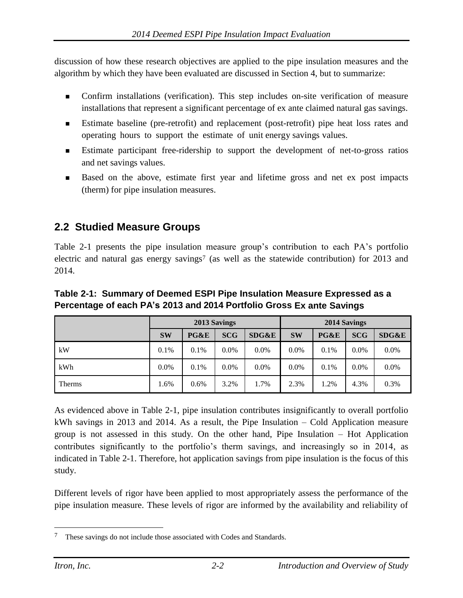discussion of how these research objectives are applied to the pipe insulation measures and the algorithm by which they have been evaluated are discussed in Section 4, but to summarize:

- Confirm installations (verification). This step includes on-site verification of measure installations that represent a significant percentage of ex ante claimed natural gas savings.
- Estimate baseline (pre-retrofit) and replacement (post-retrofit) pipe heat loss rates and operating hours to support the estimate of unit energy savings values.
- Estimate participant free-ridership to support the development of net-to-gross ratios and net savings values.
- Based on the above, estimate first year and lifetime gross and net ex post impacts (therm) for pipe insulation measures.

## <span id="page-8-0"></span>**2.2 Studied Measure Groups**

[Table 2-1](#page-8-1) presents the pipe insulation measure group's contribution to each PA's portfolio electric and natural gas energy savings<sup>7</sup> (as well as the statewide contribution) for 2013 and 2014.

|               | 2013 Savings |         |            |         | 2014 Savings |         |            |         |
|---------------|--------------|---------|------------|---------|--------------|---------|------------|---------|
|               | <b>SW</b>    | PG&E    | <b>SCG</b> | SDG&E   | <b>SW</b>    | PG&E    | <b>SCG</b> | SDG&E   |
| kW            | 0.1%         | 0.1%    | $0.0\%$    | $0.0\%$ | $0.0\%$      | 0.1%    | $0.0\%$    | $0.0\%$ |
| kWh           | $0.0\%$      | 0.1%    | $0.0\%$    | $0.0\%$ | $0.0\%$      | $0.1\%$ | $0.0\%$    | $0.0\%$ |
| <b>Therms</b> | 1.6%         | $0.6\%$ | 3.2%       | 1.7%    | 2.3%         | 1.2%    | 4.3%       | 0.3%    |

#### <span id="page-8-1"></span>**Table 2-1: Summary of Deemed ESPI Pipe Insulation Measure Expressed as a Percentage of each PA's 2013 and 2014 Portfolio Gross Ex ante Savings**

As evidenced above in [Table 2-1,](#page-8-1) pipe insulation contributes insignificantly to overall portfolio kWh savings in 2013 and 2014. As a result, the Pipe Insulation – Cold Application measure group is not assessed in this study. On the other hand, Pipe Insulation – Hot Application contributes significantly to the portfolio's therm savings, and increasingly so in 2014, as indicated in [Table 2-1.](#page-8-1) Therefore, hot application savings from pipe insulation is the focus of this study.

Different levels of rigor have been applied to most appropriately assess the performance of the pipe insulation measure. These levels of rigor are informed by the availability and reliability of

<sup>7</sup> These savings do not include those associated with Codes and Standards.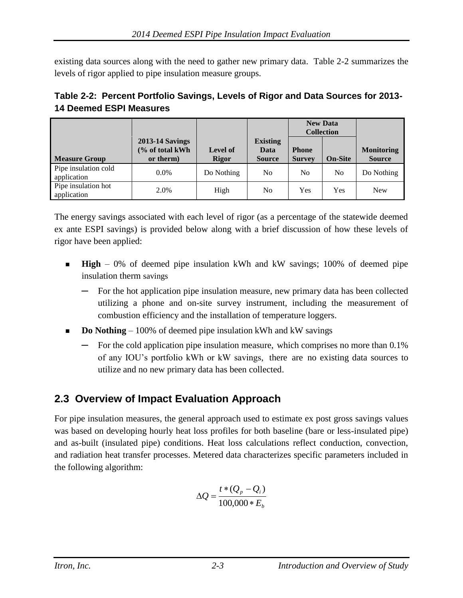existing data sources along with the need to gather new primary data. Table 2-2 summarizes the levels of rigor applied to pipe insulation measure groups.

<span id="page-9-1"></span>

| Table 2-2: Percent Portfolio Savings, Levels of Rigor and Data Sources for 2013- |  |
|----------------------------------------------------------------------------------|--|
| <b>14 Deemed ESPI Measures</b>                                                   |  |

|                                     |                                                        |                                 |                                          | <b>New Data</b><br><b>Collection</b> |                |                                    |
|-------------------------------------|--------------------------------------------------------|---------------------------------|------------------------------------------|--------------------------------------|----------------|------------------------------------|
| <b>Measure Group</b>                | <b>2013-14 Savings</b><br>(% of total kWh<br>or therm) | <b>Level of</b><br><b>Rigor</b> | <b>Existing</b><br>Data<br><b>Source</b> | <b>Phone</b><br><b>Survey</b>        | <b>On-Site</b> | <b>Monitoring</b><br><b>Source</b> |
| Pipe insulation cold<br>application | $0.0\%$                                                | Do Nothing                      | No.                                      | N <sub>0</sub>                       | N <sub>o</sub> | Do Nothing                         |
| Pipe insulation hot<br>application  | 2.0%                                                   | High                            | No.                                      | Yes                                  | Yes            | <b>New</b>                         |

The energy savings associated with each level of rigor (as a percentage of the statewide deemed ex ante ESPI savings) is provided below along with a brief discussion of how these levels of rigor have been applied:

- **High** 0% of deemed pipe insulation kWh and kW savings; 100% of deemed pipe insulation therm savings
	- For the hot application pipe insulation measure, new primary data has been collected utilizing a phone and on-site survey instrument, including the measurement of combustion efficiency and the installation of temperature loggers.
- **Do Nothing**  100% of deemed pipe insulation kWh and kW savings
	- For the cold application pipe insulation measure, which comprises no more than 0.1% of any IOU's portfolio kWh or kW savings, there are no existing data sources to utilize and no new primary data has been collected.

# <span id="page-9-0"></span>**2.3 Overview of Impact Evaluation Approach**

For pipe insulation measures, the general approach used to estimate ex post gross savings values was based on developing hourly heat loss profiles for both baseline (bare or less-insulated pipe) and as-built (insulated pipe) conditions. Heat loss calculations reflect conduction, convection, and radiation heat transfer processes. Metered data characterizes specific parameters included in the following algorithm:

$$
\Delta Q = \frac{t*(Q_p - Q_i)}{100,000 * E_b}
$$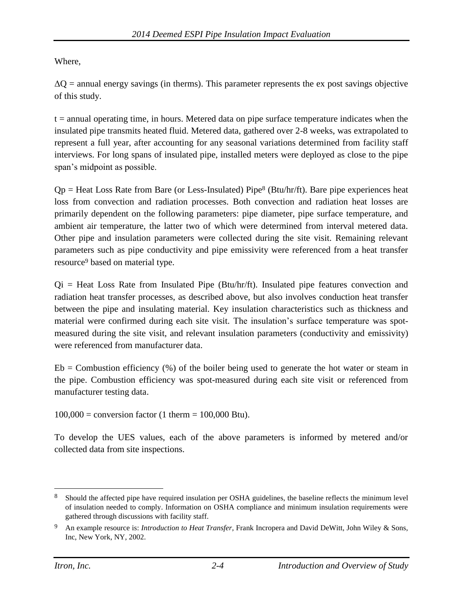Where,

 $\Delta$ O = annual energy savings (in therms). This parameter represents the ex post savings objective of this study.

 $t =$  annual operating time, in hours. Metered data on pipe surface temperature indicates when the insulated pipe transmits heated fluid. Metered data, gathered over 2-8 weeks, was extrapolated to represent a full year, after accounting for any seasonal variations determined from facility staff interviews. For long spans of insulated pipe, installed meters were deployed as close to the pipe span's midpoint as possible.

 $Qp =$  Heat Loss Rate from Bare (or Less-Insulated) Pipe<sup>8</sup> (Btu/hr/ft). Bare pipe experiences heat loss from convection and radiation processes. Both convection and radiation heat losses are primarily dependent on the following parameters: pipe diameter, pipe surface temperature, and ambient air temperature, the latter two of which were determined from interval metered data. Other pipe and insulation parameters were collected during the site visit. Remaining relevant parameters such as pipe conductivity and pipe emissivity were referenced from a heat transfer resource<sup>9</sup> based on material type.

 $Qi = Heat Loss Rate from Insulated Pipe (Btu/hr/ft)$ . Insulated pipe features convection and radiation heat transfer processes, as described above, but also involves conduction heat transfer between the pipe and insulating material. Key insulation characteristics such as thickness and material were confirmed during each site visit. The insulation's surface temperature was spotmeasured during the site visit, and relevant insulation parameters (conductivity and emissivity) were referenced from manufacturer data.

 $Eb = Combustion efficiency$  (%) of the boiler being used to generate the hot water or steam in the pipe. Combustion efficiency was spot-measured during each site visit or referenced from manufacturer testing data.

 $100,000 =$  conversion factor (1 therm = 100,000 Btu).

To develop the UES values, each of the above parameters is informed by metered and/or collected data from site inspections.

<sup>8</sup> Should the affected pipe have required insulation per OSHA guidelines, the baseline reflects the minimum level of insulation needed to comply. Information on OSHA compliance and minimum insulation requirements were gathered through discussions with facility staff.

<sup>9</sup> An example resource is: *Introduction to Heat Transfer*, Frank Incropera and David DeWitt, John Wiley & Sons, Inc, New York, NY, 2002.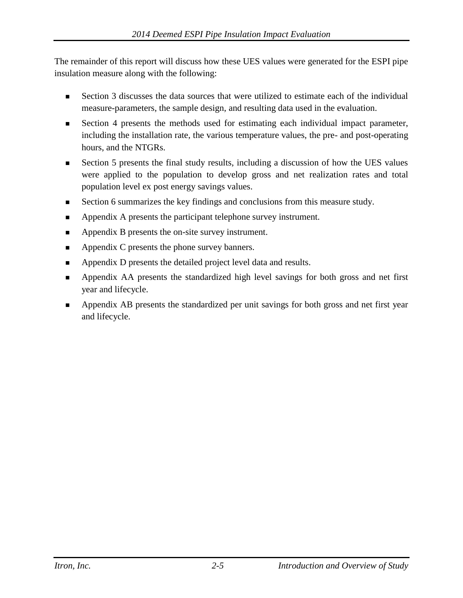The remainder of this report will discuss how these UES values were generated for the ESPI pipe insulation measure along with the following:

- Section 3 discusses the data sources that were utilized to estimate each of the individual measure-parameters, the sample design, and resulting data used in the evaluation.
- Section 4 presents the methods used for estimating each individual impact parameter, including the installation rate, the various temperature values, the pre- and post-operating hours, and the NTGRs.
- Section 5 presents the final study results, including a discussion of how the UES values were applied to the population to develop gross and net realization rates and total population level ex post energy savings values.
- Section 6 summarizes the key findings and conclusions from this measure study.
- Appendix A presents the participant telephone survey instrument.
- Appendix B presents the on-site survey instrument.
- Appendix C presents the phone survey banners.
- **Appendix D presents the detailed project level data and results.**
- Appendix AA presents the standardized high level savings for both gross and net first year and lifecycle.
- Appendix AB presents the standardized per unit savings for both gross and net first year and lifecycle.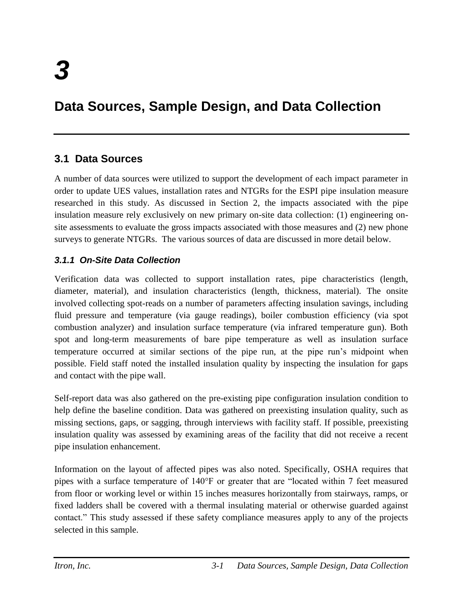# <span id="page-12-0"></span>**Data Sources, Sample Design, and Data Collection**

## <span id="page-12-1"></span>**3.1 Data Sources**

A number of data sources were utilized to support the development of each impact parameter in order to update UES values, installation rates and NTGRs for the ESPI pipe insulation measure researched in this study. As discussed in Section 2, the impacts associated with the pipe insulation measure rely exclusively on new primary on-site data collection: (1) engineering onsite assessments to evaluate the gross impacts associated with those measures and (2) new phone surveys to generate NTGRs. The various sources of data are discussed in more detail below.

#### <span id="page-12-2"></span>*3.1.1 On-Site Data Collection*

Verification data was collected to support installation rates, pipe characteristics (length, diameter, material), and insulation characteristics (length, thickness, material). The onsite involved collecting spot-reads on a number of parameters affecting insulation savings, including fluid pressure and temperature (via gauge readings), boiler combustion efficiency (via spot combustion analyzer) and insulation surface temperature (via infrared temperature gun). Both spot and long-term measurements of bare pipe temperature as well as insulation surface temperature occurred at similar sections of the pipe run, at the pipe run's midpoint when possible. Field staff noted the installed insulation quality by inspecting the insulation for gaps and contact with the pipe wall.

Self-report data was also gathered on the pre-existing pipe configuration insulation condition to help define the baseline condition. Data was gathered on preexisting insulation quality, such as missing sections, gaps, or sagging, through interviews with facility staff. If possible, preexisting insulation quality was assessed by examining areas of the facility that did not receive a recent pipe insulation enhancement.

Information on the layout of affected pipes was also noted. Specifically, OSHA requires that pipes with a surface temperature of 140°F or greater that are "located within 7 feet measured from floor or working level or within 15 inches measures horizontally from stairways, ramps, or fixed ladders shall be covered with a thermal insulating material or otherwise guarded against contact." This study assessed if these safety compliance measures apply to any of the projects selected in this sample.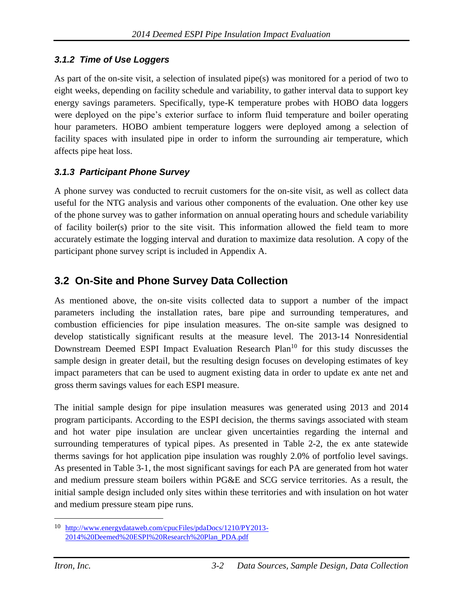#### <span id="page-13-0"></span>*3.1.2 Time of Use Loggers*

As part of the on-site visit, a selection of insulated pipe(s) was monitored for a period of two to eight weeks, depending on facility schedule and variability, to gather interval data to support key energy savings parameters. Specifically, type-K temperature probes with HOBO data loggers were deployed on the pipe's exterior surface to inform fluid temperature and boiler operating hour parameters. HOBO ambient temperature loggers were deployed among a selection of facility spaces with insulated pipe in order to inform the surrounding air temperature, which affects pipe heat loss.

#### <span id="page-13-1"></span>*3.1.3 Participant Phone Survey*

A phone survey was conducted to recruit customers for the on-site visit, as well as collect data useful for the NTG analysis and various other components of the evaluation. One other key use of the phone survey was to gather information on annual operating hours and schedule variability of facility boiler(s) prior to the site visit. This information allowed the field team to more accurately estimate the logging interval and duration to maximize data resolution. A copy of the participant phone survey script is included in Appendix A.

### <span id="page-13-2"></span>**3.2 On-Site and Phone Survey Data Collection**

As mentioned above, the on-site visits collected data to support a number of the impact parameters including the installation rates, bare pipe and surrounding temperatures, and combustion efficiencies for pipe insulation measures. The on-site sample was designed to develop statistically significant results at the measure level. The 2013-14 Nonresidential Downstream Deemed ESPI Impact Evaluation Research Plan<sup>10</sup> for this study discusses the sample design in greater detail, but the resulting design focuses on developing estimates of key impact parameters that can be used to augment existing data in order to update ex ante net and gross therm savings values for each ESPI measure.

The initial sample design for pipe insulation measures was generated using 2013 and 2014 program participants. According to the ESPI decision, the therms savings associated with steam and hot water pipe insulation are unclear given uncertainties regarding the internal and surrounding temperatures of typical pipes. As presented in [Table 2-2,](#page-9-1) the ex ante statewide therms savings for hot application pipe insulation was roughly 2.0% of portfolio level savings. As presented in [Table 3-1,](#page-14-0) the most significant savings for each PA are generated from hot water and medium pressure steam boilers within PG&E and SCG service territories. As a result, the initial sample design included only sites within these territories and with insulation on hot water and medium pressure steam pipe runs.

<sup>10</sup> [http://www.energydataweb.com/cpucFiles/pdaDocs/1210/PY2013-](http://www.energydataweb.com/cpucFiles/pdaDocs/1210/PY2013-2014%20Deemed%20ESPI%20Research%20Plan_PDA.pdf) [2014%20Deemed%20ESPI%20Research%20Plan\\_PDA.pdf](http://www.energydataweb.com/cpucFiles/pdaDocs/1210/PY2013-2014%20Deemed%20ESPI%20Research%20Plan_PDA.pdf)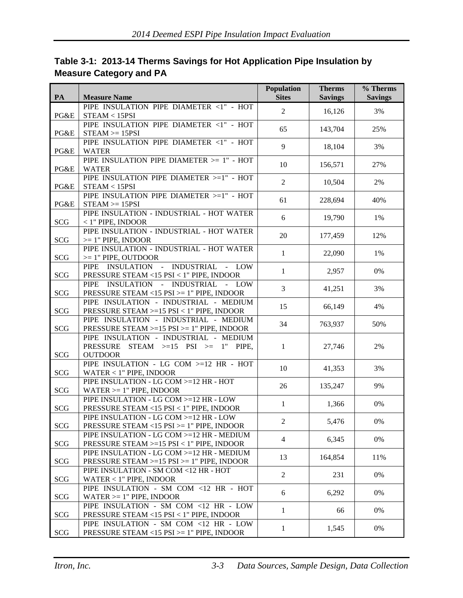| PA         | <b>Measure Name</b>                                                                                                            | Population<br><b>Sites</b> | <b>Therms</b><br><b>Savings</b> | % Therms<br><b>Savings</b> |
|------------|--------------------------------------------------------------------------------------------------------------------------------|----------------------------|---------------------------------|----------------------------|
| PG&E       | PIPE INSULATION PIPE DIAMETER <1" - HOT<br>STEAM < 15PSI                                                                       | $\overline{2}$             | 16,126                          | 3%                         |
| PG&E       | PIPE INSULATION PIPE DIAMETER <1" - HOT<br>$STEAM \geq 15PSI$                                                                  | 65                         | 143,704                         | 25%                        |
| PG&E       | PIPE INSULATION PIPE DIAMETER <1" - HOT<br><b>WATER</b>                                                                        | 9                          | 18,104                          | 3%                         |
| PG&E       | PIPE INSULATION PIPE DIAMETER $>= 1" - HOT$<br><b>WATER</b>                                                                    | 10                         | 156,571                         | 27%                        |
| PG&E       | PIPE INSULATION PIPE DIAMETER >=1" - HOT<br>STEAM < 15PSI                                                                      | $\overline{2}$             | 10,504                          | 2%                         |
| PG&E       | PIPE INSULATION PIPE DIAMETER >=1" - HOT<br>$STEAM \geq 15PSI$                                                                 | 61                         | 228,694                         | 40%                        |
| <b>SCG</b> | PIPE INSULATION - INDUSTRIAL - HOT WATER<br>$<$ 1" PIPE, INDOOR                                                                | 6                          | 19,790                          | 1%                         |
| <b>SCG</b> | PIPE INSULATION - INDUSTRIAL - HOT WATER<br>$>= 1$ " PIPE, INDOOR                                                              | 20                         | 177,459                         | 12%                        |
| <b>SCG</b> | PIPE INSULATION - INDUSTRIAL - HOT WATER<br>$>= 1$ " PIPE, OUTDOOR                                                             | $\mathbf{1}$               | 22,090                          | 1%                         |
| SCG        | INSULATION - INDUSTRIAL - LOW<br>PIPE<br>PRESSURE STEAM <15 PSI < 1" PIPE, INDOOR                                              | $\mathbf{1}$               | 2,957                           | $0\%$                      |
| <b>SCG</b> | INSULATION - INDUSTRIAL<br>PIPE<br>- LOW<br>PRESSURE STEAM <15 PSI >= 1" PIPE, INDOOR                                          | 3                          | 41,251                          | 3%                         |
| <b>SCG</b> | PIPE INSULATION - INDUSTRIAL - MEDIUM<br>PRESSURE STEAM >=15 PSI < 1" PIPE, INDOOR                                             | 15                         | 66,149                          | 4%                         |
| <b>SCG</b> | PIPE INSULATION - INDUSTRIAL - MEDIUM<br>PRESSURE STEAM >=15 PSI >= 1" PIPE, INDOOR                                            | 34                         | 763,937                         | 50%                        |
| <b>SCG</b> | PIPE INSULATION - INDUSTRIAL - MEDIUM<br><b>PRESSURE</b><br>$STEAM$ $> = 15$<br>$PSI \geq$<br>$-1"$<br>PIPE.<br><b>OUTDOOR</b> | $\mathbf{1}$               | 27,746                          | 2%                         |
| <b>SCG</b> | PIPE INSULATION - LG COM >=12 HR - HOT<br>WATER $<$ 1" PIPE, INDOOR                                                            | 10                         | 41,353                          | 3%                         |
| <b>SCG</b> | PIPE INSULATION - LG COM >=12 HR - HOT<br>$WATER \geq 1$ " PIPE, INDOOR                                                        | 26                         | 135,247                         | 9%                         |
| <b>SCG</b> | PIPE INSULATION - LG COM >=12 HR - LOW<br>PRESSURE STEAM <15 PSI < 1" PIPE, INDOOR                                             | $\mathbf{1}$               | 1,366                           | 0%                         |
| SCG        | PIPE INSULATION - LG COM >=12 HR - LOW<br>PRESSURE STEAM <15 PSI >= 1" PIPE, INDOOR                                            | $\overline{2}$             | 5,476                           | $0\%$                      |
| <b>SCG</b> | PIPE INSULATION - LG COM >=12 HR - MEDIUM<br>PRESSURE STEAM >=15 PSI < 1" PIPE, INDOOR                                         | $\overline{4}$             | 6,345                           | 0%                         |
| <b>SCG</b> | PIPE INSULATION - LG COM >=12 HR - MEDIUM<br>PRESSURE STEAM $>=15$ PSI $>=1$ " PIPE, INDOOR                                    | 13                         | 164,854                         | 11%                        |
| <b>SCG</b> | PIPE INSULATION - SM COM <12 HR - HOT<br>WATER $< 1$ " PIPE, INDOOR                                                            | $\overline{2}$             | 231                             | 0%                         |
| <b>SCG</b> | PIPE INSULATION - SM COM <12 HR - HOT<br>$WATER \geq 1$ " PIPE, INDOOR                                                         | 6                          | 6,292                           | $0\%$                      |
| <b>SCG</b> | PIPE INSULATION - SM COM <12 HR - LOW<br>PRESSURE STEAM <15 PSI < 1" PIPE, INDOOR                                              | $\mathbf{1}$               | 66                              | 0%                         |
| SCG        | PIPE INSULATION - SM COM <12 HR - LOW<br>PRESSURE STEAM <15 PSI >= 1" PIPE, INDOOR                                             | $\mathbf{1}$               | 1,545                           | 0%                         |

### <span id="page-14-0"></span>**Table 3-1: 2013-14 Therms Savings for Hot Application Pipe Insulation by Measure Category and PA**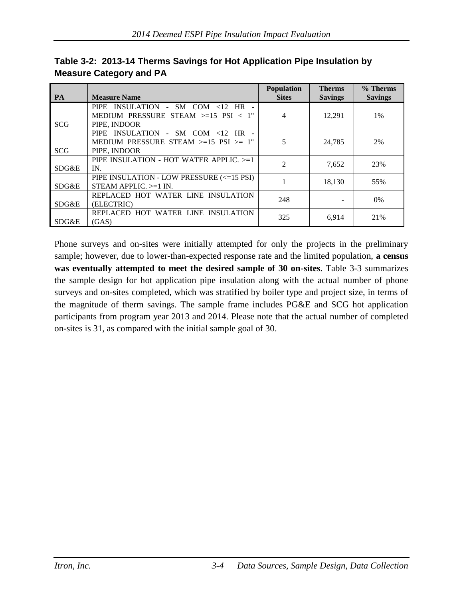| <b>PA</b>  | <b>Measure Name</b>                                                                                               | <b>Population</b><br><b>Sites</b> | <b>Therms</b><br><b>Savings</b> | % Therms<br><b>Savings</b> |
|------------|-------------------------------------------------------------------------------------------------------------------|-----------------------------------|---------------------------------|----------------------------|
| <b>SCG</b> | INSULATION - SM COM $\lt 12$ HR -<br><b>PIPE</b><br>MEDIUM PRESSURE STEAM $> = 15$ PSI $< 1$ "<br>PIPE, INDOOR    | 4                                 | 12,291                          | $1\%$                      |
| <b>SCG</b> | INSULATION - SM COM $\lt 12$<br><b>PIPE</b><br>$HR -$<br>MEDIUM PRESSURE STEAM $>=15$ PSI $>=1$ "<br>PIPE, INDOOR | 5                                 | 24,785                          | 2%                         |
| SDG&E      | PIPE INSULATION - HOT WATER APPLIC. >=1<br>IN.                                                                    | $\mathfrak{D}$                    | 7,652                           | 23%                        |
| SDG&E      | PIPE INSULATION - LOW PRESSURE (<=15 PSI)<br>STEAM APPLIC. $>=1$ IN.                                              |                                   | 18,130                          | 55%                        |
| SDG&E      | REPLACED HOT WATER LINE INSULATION<br>(ELECTRIC)                                                                  | 248                               |                                 | $0\%$                      |
| SDG&E      | REPLACED HOT WATER LINE INSULATION<br>(GAS)                                                                       | 325                               | 6,914                           | 21%                        |

<span id="page-15-0"></span>**Table 3-2: 2013-14 Therms Savings for Hot Application Pipe Insulation by Measure Category and PA**

Phone surveys and on-sites were initially attempted for only the projects in the preliminary sample; however, due to lower-than-expected response rate and the limited population, **a census was eventually attempted to meet the desired sample of 30 on-sites**. [Table 3-3](#page-16-0) summarizes the sample design for hot application pipe insulation along with the actual number of phone surveys and on-sites completed, which was stratified by boiler type and project size, in terms of the magnitude of therm savings. The sample frame includes PG&E and SCG hot application participants from program year 2013 and 2014. Please note that the actual number of completed on-sites is 31, as compared with the initial sample goal of 30.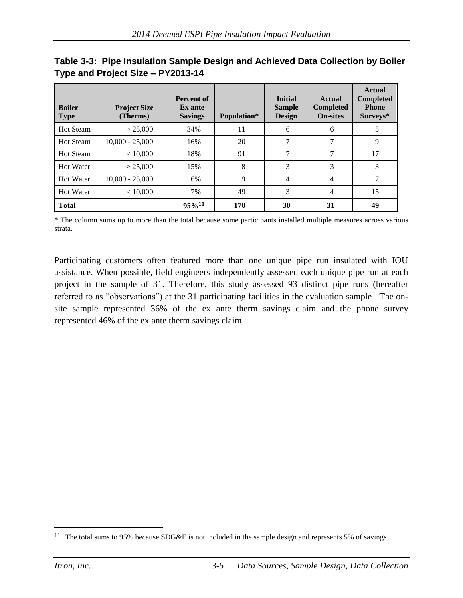| <b>Boiler</b><br><b>Type</b> | <b>Project Size</b><br>(Therms) | <b>Percent of</b><br>Ex ante<br><b>Savings</b> | Population* | <b>Initial</b><br><b>Sample</b><br><b>Design</b> | Actual<br><b>Completed</b><br><b>On-sites</b> | <b>Actual</b><br><b>Completed</b><br><b>Phone</b><br>Surveys* |
|------------------------------|---------------------------------|------------------------------------------------|-------------|--------------------------------------------------|-----------------------------------------------|---------------------------------------------------------------|
| <b>Hot Steam</b>             | > 25,000                        | 34%                                            | 11          | 6                                                | 6                                             |                                                               |
| <b>Hot Steam</b>             | $10,000 - 25,000$               | 16%                                            | 20          |                                                  | 7                                             | 9                                                             |
| <b>Hot Steam</b>             | < 10,000                        | 18%                                            | 91          | 7                                                | 7                                             | 17                                                            |
| Hot Water                    | > 25,000                        | 15%                                            | 8           | 3                                                | 3                                             | 3                                                             |
| Hot Water                    | $10,000 - 25,000$               | 6%                                             | 9           | 4                                                | 4                                             |                                                               |
| Hot Water                    | < 10,000                        | 7%                                             | 49          | 3                                                | 4                                             | 15                                                            |
| <b>Total</b>                 |                                 | $95\%$ <sup>11</sup>                           | 170         | 30                                               | 31                                            | 49                                                            |

<span id="page-16-0"></span>

| Table 3-3: Pipe Insulation Sample Design and Achieved Data Collection by Boiler |
|---------------------------------------------------------------------------------|
| Type and Project Size - PY2013-14                                               |

\* The column sums up to more than the total because some participants installed multiple measures across various strata.

Participating customers often featured more than one unique pipe run insulated with IOU assistance. When possible, field engineers independently assessed each unique pipe run at each project in the sample of 31. Therefore, this study assessed 93 distinct pipe runs (hereafter referred to as "observations") at the 31 participating facilities in the evaluation sample. The onsite sample represented 36% of the ex ante therm savings claim and the phone survey represented 46% of the ex ante therm savings claim.

<sup>&</sup>lt;sup>11</sup> The total sums to 95% because SDG&E is not included in the sample design and represents 5% of savings.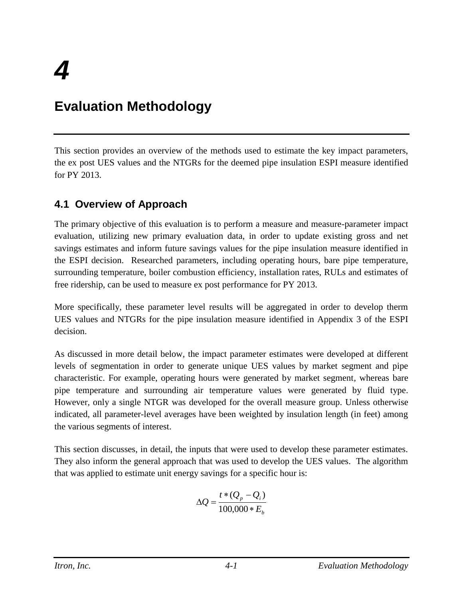# <span id="page-17-0"></span>**Evaluation Methodology**

This section provides an overview of the methods used to estimate the key impact parameters, the ex post UES values and the NTGRs for the deemed pipe insulation ESPI measure identified for PY 2013.

## <span id="page-17-1"></span>**4.1 Overview of Approach**

The primary objective of this evaluation is to perform a measure and measure-parameter impact evaluation, utilizing new primary evaluation data, in order to update existing gross and net savings estimates and inform future savings values for the pipe insulation measure identified in the ESPI decision. Researched parameters, including operating hours, bare pipe temperature, surrounding temperature, boiler combustion efficiency, installation rates, RULs and estimates of free ridership, can be used to measure ex post performance for PY 2013.

More specifically, these parameter level results will be aggregated in order to develop therm UES values and NTGRs for the pipe insulation measure identified in Appendix 3 of the ESPI decision.

As discussed in more detail below, the impact parameter estimates were developed at different levels of segmentation in order to generate unique UES values by market segment and pipe characteristic. For example, operating hours were generated by market segment, whereas bare pipe temperature and surrounding air temperature values were generated by fluid type. However, only a single NTGR was developed for the overall measure group. Unless otherwise indicated, all parameter-level averages have been weighted by insulation length (in feet) among the various segments of interest.

This section discusses, in detail, the inputs that were used to develop these parameter estimates. They also inform the general approach that was used to develop the UES values. The algorithm that was applied to estimate unit energy savings for a specific hour is:

$$
\Delta Q = \frac{t * (Q_p - Q_i)}{100,000 * E_b}
$$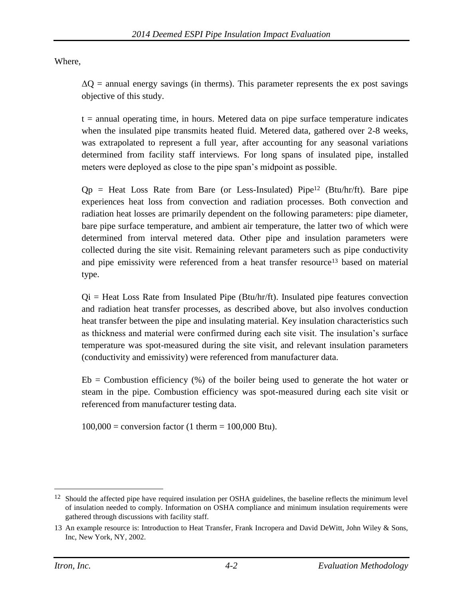Where,

 $\Delta$ O = annual energy savings (in therms). This parameter represents the ex post savings objective of this study.

 $t =$  annual operating time, in hours. Metered data on pipe surface temperature indicates when the insulated pipe transmits heated fluid. Metered data, gathered over 2-8 weeks, was extrapolated to represent a full year, after accounting for any seasonal variations determined from facility staff interviews. For long spans of insulated pipe, installed meters were deployed as close to the pipe span's midpoint as possible.

 $Qp =$  Heat Loss Rate from Bare (or Less-Insulated) Pipe<sup>12</sup> (Btu/hr/ft). Bare pipe experiences heat loss from convection and radiation processes. Both convection and radiation heat losses are primarily dependent on the following parameters: pipe diameter, bare pipe surface temperature, and ambient air temperature, the latter two of which were determined from interval metered data. Other pipe and insulation parameters were collected during the site visit. Remaining relevant parameters such as pipe conductivity and pipe emissivity were referenced from a heat transfer resource<sup>13</sup> based on material type.

 $Qi = Heat Loss Rate from Insulated Pipe (Btu/hr/ft)$ . Insulated pipe features convection and radiation heat transfer processes, as described above, but also involves conduction heat transfer between the pipe and insulating material. Key insulation characteristics such as thickness and material were confirmed during each site visit. The insulation's surface temperature was spot-measured during the site visit, and relevant insulation parameters (conductivity and emissivity) were referenced from manufacturer data.

 $Eb =$  Combustion efficiency  $\left(\frac{9}{2}\right)$  of the boiler being used to generate the hot water or steam in the pipe. Combustion efficiency was spot-measured during each site visit or referenced from manufacturer testing data.

 $100,000 =$  conversion factor (1 therm = 100,000 Btu).

<sup>&</sup>lt;sup>12</sup> Should the affected pipe have required insulation per OSHA guidelines, the baseline reflects the minimum level of insulation needed to comply. Information on OSHA compliance and minimum insulation requirements were gathered through discussions with facility staff.

<sup>13</sup> An example resource is: Introduction to Heat Transfer, Frank Incropera and David DeWitt, John Wiley & Sons, Inc, New York, NY, 2002.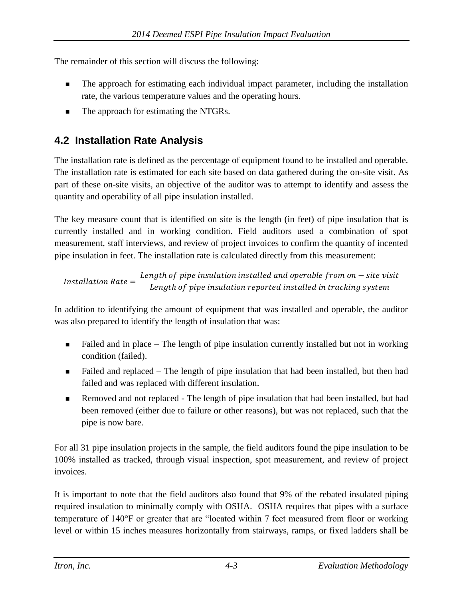The remainder of this section will discuss the following:

- The approach for estimating each individual impact parameter, including the installation rate, the various temperature values and the operating hours.
- The approach for estimating the NTGRs.

# <span id="page-19-0"></span>**4.2 Installation Rate Analysis**

The installation rate is defined as the percentage of equipment found to be installed and operable. The installation rate is estimated for each site based on data gathered during the on-site visit. As part of these on-site visits, an objective of the auditor was to attempt to identify and assess the quantity and operability of all pipe insulation installed.

The key measure count that is identified on site is the length (in feet) of pipe insulation that is currently installed and in working condition. Field auditors used a combination of spot measurement, staff interviews, and review of project invoices to confirm the quantity of incented pipe insulation in feet. The installation rate is calculated directly from this measurement:

 $Installation Rate =$ Length of pipe insulation installed and operable from on  $-$  site visit Length of pipe insulation reported installed in tracking system

In addition to identifying the amount of equipment that was installed and operable, the auditor was also prepared to identify the length of insulation that was:

- Failed and in place The length of pipe insulation currently installed but not in working condition (failed).
- Failed and replaced The length of pipe insulation that had been installed, but then had failed and was replaced with different insulation.
- Removed and not replaced The length of pipe insulation that had been installed, but had been removed (either due to failure or other reasons), but was not replaced, such that the pipe is now bare.

For all 31 pipe insulation projects in the sample, the field auditors found the pipe insulation to be 100% installed as tracked, through visual inspection, spot measurement, and review of project invoices.

It is important to note that the field auditors also found that 9% of the rebated insulated piping required insulation to minimally comply with OSHA. OSHA requires that pipes with a surface temperature of 140°F or greater that are "located within 7 feet measured from floor or working level or within 15 inches measures horizontally from stairways, ramps, or fixed ladders shall be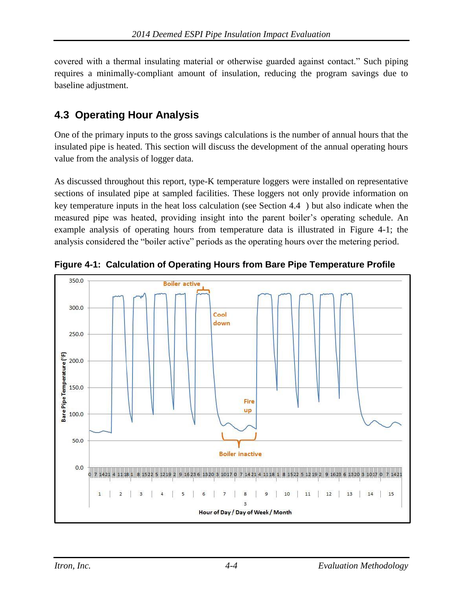covered with a thermal insulating material or otherwise guarded against contact." Such piping requires a minimally-compliant amount of insulation, reducing the program savings due to baseline adjustment.

## <span id="page-20-0"></span>**4.3 Operating Hour Analysis**

One of the primary inputs to the gross savings calculations is the number of annual hours that the insulated pipe is heated. This section will discuss the development of the annual operating hours value from the analysis of logger data.

As discussed throughout this report, type-K temperature loggers were installed on representative sections of insulated pipe at sampled facilities. These loggers not only provide information on key temperature inputs in the heat loss calculation (see Section [4.4 \)](#page-22-0) but also indicate when the measured pipe was heated, providing insight into the parent boiler's operating schedule. An example analysis of operating hours from temperature data is illustrated in [Figure 4-1;](#page-20-1) the analysis considered the "boiler active" periods as the operating hours over the metering period.



<span id="page-20-1"></span>**Figure 4-1: Calculation of Operating Hours from Bare Pipe Temperature Profile**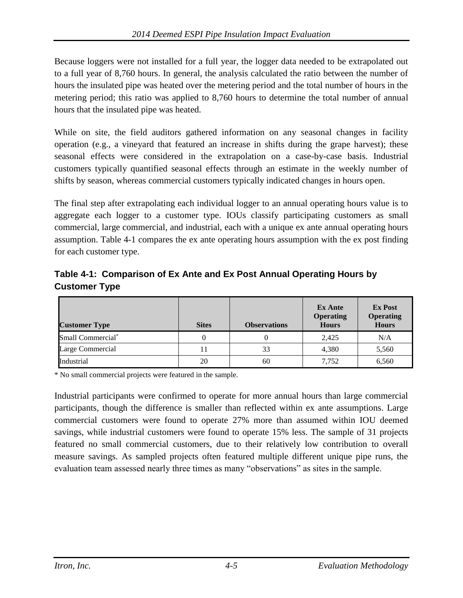Because loggers were not installed for a full year, the logger data needed to be extrapolated out to a full year of 8,760 hours. In general, the analysis calculated the ratio between the number of hours the insulated pipe was heated over the metering period and the total number of hours in the metering period; this ratio was applied to 8,760 hours to determine the total number of annual hours that the insulated pipe was heated.

While on site, the field auditors gathered information on any seasonal changes in facility operation (e.g., a vineyard that featured an increase in shifts during the grape harvest); these seasonal effects were considered in the extrapolation on a case-by-case basis. Industrial customers typically quantified seasonal effects through an estimate in the weekly number of shifts by season, whereas commercial customers typically indicated changes in hours open.

The final step after extrapolating each individual logger to an annual operating hours value is to aggregate each logger to a customer type. IOUs classify participating customers as small commercial, large commercial, and industrial, each with a unique ex ante annual operating hours assumption. [Table 4-1](#page-21-0) compares the ex ante operating hours assumption with the ex post finding for each customer type.

<span id="page-21-0"></span>**Table 4-1: Comparison of Ex Ante and Ex Post Annual Operating Hours by Customer Type**

| <b>Customer Type</b>          | <b>Sites</b> | <b>Observations</b> | Ex Ante<br><b>Operating</b><br><b>Hours</b> | <b>Ex Post</b><br><b>Operating</b><br><b>Hours</b> |
|-------------------------------|--------------|---------------------|---------------------------------------------|----------------------------------------------------|
| Small Commercial <sup>*</sup> |              |                     | 2.425                                       | N/A                                                |
| Large Commercial              |              | 33                  | 4,380                                       | 5,560                                              |
| Industrial                    | 20           | 60                  | 7,752                                       | 6,560                                              |

\* No small commercial projects were featured in the sample.

Industrial participants were confirmed to operate for more annual hours than large commercial participants, though the difference is smaller than reflected within ex ante assumptions. Large commercial customers were found to operate 27% more than assumed within IOU deemed savings, while industrial customers were found to operate 15% less. The sample of 31 projects featured no small commercial customers, due to their relatively low contribution to overall measure savings. As sampled projects often featured multiple different unique pipe runs, the evaluation team assessed nearly three times as many "observations" as sites in the sample.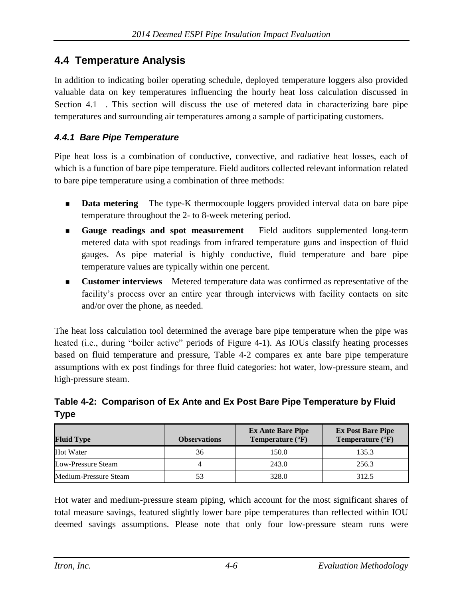### <span id="page-22-0"></span>**4.4 Temperature Analysis**

In addition to indicating boiler operating schedule, deployed temperature loggers also provided valuable data on key temperatures influencing the hourly heat loss calculation discussed in Section [4.1 .](#page-17-1) This section will discuss the use of metered data in characterizing bare pipe temperatures and surrounding air temperatures among a sample of participating customers.

#### <span id="page-22-1"></span>*4.4.1 Bare Pipe Temperature*

Pipe heat loss is a combination of conductive, convective, and radiative heat losses, each of which is a function of bare pipe temperature. Field auditors collected relevant information related to bare pipe temperature using a combination of three methods:

- **Data metering** The type-K thermocouple loggers provided interval data on bare pipe temperature throughout the 2- to 8-week metering period.
- **Gauge readings and spot measurement** Field auditors supplemented long-term metered data with spot readings from infrared temperature guns and inspection of fluid gauges. As pipe material is highly conductive, fluid temperature and bare pipe temperature values are typically within one percent.
- **Customer interviews** Metered temperature data was confirmed as representative of the facility's process over an entire year through interviews with facility contacts on site and/or over the phone, as needed.

The heat loss calculation tool determined the average bare pipe temperature when the pipe was heated (i.e., during "boiler active" periods of [Figure 4-1\)](#page-20-1). As IOUs classify heating processes based on fluid temperature and pressure, [Table 4-2](#page-22-2) compares ex ante bare pipe temperature assumptions with ex post findings for three fluid categories: hot water, low-pressure steam, and high-pressure steam.

<span id="page-22-2"></span>**Table 4-2: Comparison of Ex Ante and Ex Post Bare Pipe Temperature by Fluid Type**

| <b>Fluid Type</b>     | <b>Observations</b> | <b>Ex Ante Bare Pipe</b><br>Temperature $(^{\circ}F)$ | <b>Ex Post Bare Pipe</b><br>Temperature $(^{\circ}F)$ |
|-----------------------|---------------------|-------------------------------------------------------|-------------------------------------------------------|
| <b>Hot Water</b>      | 36                  | 150.0                                                 | 135.3                                                 |
| Low-Pressure Steam    |                     | 243.0                                                 | 256.3                                                 |
| Medium-Pressure Steam | 53                  | 328.0                                                 | 312.5                                                 |

Hot water and medium-pressure steam piping, which account for the most significant shares of total measure savings, featured slightly lower bare pipe temperatures than reflected within IOU deemed savings assumptions. Please note that only four low-pressure steam runs were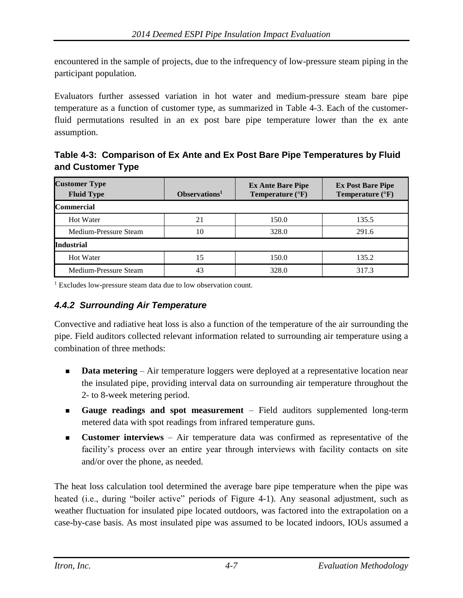encountered in the sample of projects, due to the infrequency of low-pressure steam piping in the participant population.

Evaluators further assessed variation in hot water and medium-pressure steam bare pipe temperature as a function of customer type, as summarized in Table 4-3. Each of the customerfluid permutations resulted in an ex post bare pipe temperature lower than the ex ante assumption.

<span id="page-23-1"></span>**Table 4-3: Comparison of Ex Ante and Ex Post Bare Pipe Temperatures by Fluid and Customer Type**

| <b>Customer Type</b><br><b>Fluid Type</b> | Observations <sup>1</sup> | <b>Ex Ante Bare Pipe</b><br>Temperature $(^{\circ}F)$ | <b>Ex Post Bare Pipe</b><br>Temperature $(^{\circ}F)$ |
|-------------------------------------------|---------------------------|-------------------------------------------------------|-------------------------------------------------------|
| <b>Commercial</b>                         |                           |                                                       |                                                       |
| <b>Hot Water</b>                          | 21                        | 150.0                                                 | 135.5                                                 |
| Medium-Pressure Steam                     | 10                        | 328.0                                                 | 291.6                                                 |
| <b>Industrial</b>                         |                           |                                                       |                                                       |
| <b>Hot Water</b>                          | 15                        | 150.0                                                 | 135.2                                                 |
| Medium-Pressure Steam                     | 43                        | 328.0                                                 | 317.3                                                 |

<sup>1</sup> Excludes low-pressure steam data due to low observation count.

#### <span id="page-23-0"></span>*4.4.2 Surrounding Air Temperature*

Convective and radiative heat loss is also a function of the temperature of the air surrounding the pipe. Field auditors collected relevant information related to surrounding air temperature using a combination of three methods:

- **Data metering** Air temperature loggers were deployed at a representative location near the insulated pipe, providing interval data on surrounding air temperature throughout the 2- to 8-week metering period.
- **Gauge readings and spot measurement** Field auditors supplemented long-term metered data with spot readings from infrared temperature guns.
- **Customer interviews** Air temperature data was confirmed as representative of the facility's process over an entire year through interviews with facility contacts on site and/or over the phone, as needed.

The heat loss calculation tool determined the average bare pipe temperature when the pipe was heated (i.e., during "boiler active" periods of [Figure 4-1\)](#page-20-1). Any seasonal adjustment, such as weather fluctuation for insulated pipe located outdoors, was factored into the extrapolation on a case-by-case basis. As most insulated pipe was assumed to be located indoors, IOUs assumed a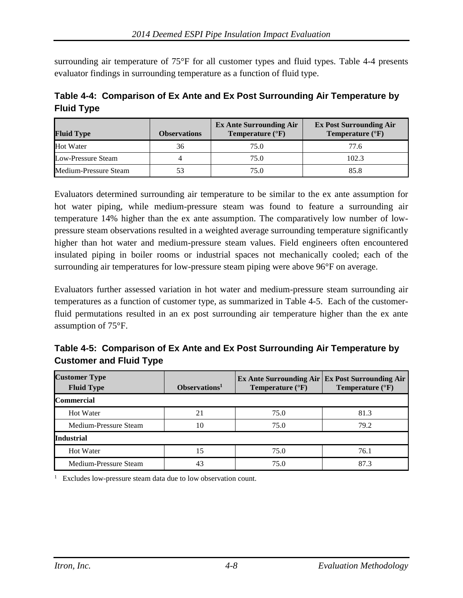surrounding air temperature of 75°F for all customer types and fluid types. [Table 4-4](#page-24-0) presents evaluator findings in surrounding temperature as a function of fluid type.

<span id="page-24-0"></span>**Table 4-4: Comparison of Ex Ante and Ex Post Surrounding Air Temperature by Fluid Type**

| <b>Fluid Type</b>     | <b>Observations</b> | <b>Ex Ante Surrounding Air</b><br>Temperature $(^{\circ}F)$ | <b>Ex Post Surrounding Air</b><br>Temperature $(^{\circ}F)$ |
|-----------------------|---------------------|-------------------------------------------------------------|-------------------------------------------------------------|
| <b>Hot Water</b>      | 36                  | 75.0                                                        | 77.6                                                        |
| Low-Pressure Steam    |                     | 75.0                                                        | 102.3                                                       |
| Medium-Pressure Steam | 53                  | 75.0                                                        | 85.8                                                        |

Evaluators determined surrounding air temperature to be similar to the ex ante assumption for hot water piping, while medium-pressure steam was found to feature a surrounding air temperature 14% higher than the ex ante assumption. The comparatively low number of lowpressure steam observations resulted in a weighted average surrounding temperature significantly higher than hot water and medium-pressure steam values. Field engineers often encountered insulated piping in boiler rooms or industrial spaces not mechanically cooled; each of the surrounding air temperatures for low-pressure steam piping were above 96°F on average.

Evaluators further assessed variation in hot water and medium-pressure steam surrounding air temperatures as a function of customer type, as summarized in Table 4-5. Each of the customerfluid permutations resulted in an ex post surrounding air temperature higher than the ex ante assumption of 75°F.

<span id="page-24-1"></span>**Table 4-5: Comparison of Ex Ante and Ex Post Surrounding Air Temperature by Customer and Fluid Type**

| <b>Customer Type</b><br><b>Fluid Type</b> | Observations <sup>1</sup> | <b>Ex Ante Surrounding Air   Ex Post Surrounding Air</b><br>Temperature $(^{\circ}F)$ | Temperature $({}^{\circ}F)$ |
|-------------------------------------------|---------------------------|---------------------------------------------------------------------------------------|-----------------------------|
| <b>Commercial</b>                         |                           |                                                                                       |                             |
| Hot Water                                 | 21                        | 75.0                                                                                  | 81.3                        |
| Medium-Pressure Steam                     | 10                        | 75.0                                                                                  | 79.2                        |
| <b>Industrial</b>                         |                           |                                                                                       |                             |
| <b>Hot Water</b>                          | 15                        | 75.0                                                                                  | 76.1                        |
| Medium-Pressure Steam                     | 43                        | 75.0                                                                                  | 87.3                        |

1 Excludes low-pressure steam data due to low observation count.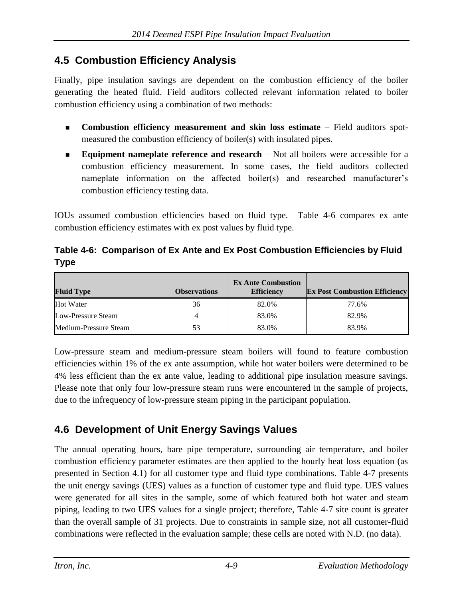## <span id="page-25-0"></span>**4.5 Combustion Efficiency Analysis**

Finally, pipe insulation savings are dependent on the combustion efficiency of the boiler generating the heated fluid. Field auditors collected relevant information related to boiler combustion efficiency using a combination of two methods:

- **Combustion efficiency measurement and skin loss estimate** Field auditors spotmeasured the combustion efficiency of boiler(s) with insulated pipes.
- **Equipment nameplate reference and research** Not all boilers were accessible for a combustion efficiency measurement. In some cases, the field auditors collected nameplate information on the affected boiler(s) and researched manufacturer's combustion efficiency testing data.

IOUs assumed combustion efficiencies based on fluid type. [Table 4-6](#page-25-2) compares ex ante combustion efficiency estimates with ex post values by fluid type.

<span id="page-25-2"></span>**Table 4-6: Comparison of Ex Ante and Ex Post Combustion Efficiencies by Fluid Type**

| <b>Fluid Type</b>     | <b>Observations</b> | <b>Ex Ante Combustion</b><br><b>Efficiency</b> | <b>Ex Post Combustion Efficiency</b> |
|-----------------------|---------------------|------------------------------------------------|--------------------------------------|
| <b>Hot Water</b>      | 36                  | 82.0%                                          | 77.6%                                |
| Low-Pressure Steam    |                     | 83.0%                                          | 82.9%                                |
| Medium-Pressure Steam | 53                  | 83.0%                                          | 83.9%                                |

Low-pressure steam and medium-pressure steam boilers will found to feature combustion efficiencies within 1% of the ex ante assumption, while hot water boilers were determined to be 4% less efficient than the ex ante value, leading to additional pipe insulation measure savings. Please note that only four low-pressure steam runs were encountered in the sample of projects, due to the infrequency of low-pressure steam piping in the participant population.

# <span id="page-25-1"></span>**4.6 Development of Unit Energy Savings Values**

The annual operating hours, bare pipe temperature, surrounding air temperature, and boiler combustion efficiency parameter estimates are then applied to the hourly heat loss equation (as presented in Section 4.1) for all customer type and fluid type combinations. [Table 4-7](#page-26-0) presents the unit energy savings (UES) values as a function of customer type and fluid type. UES values were generated for all sites in the sample, some of which featured both hot water and steam piping, leading to two UES values for a single project; therefore, [Table 4-7](#page-26-0) site count is greater than the overall sample of 31 projects. Due to constraints in sample size, not all customer-fluid combinations were reflected in the evaluation sample; these cells are noted with N.D. (no data).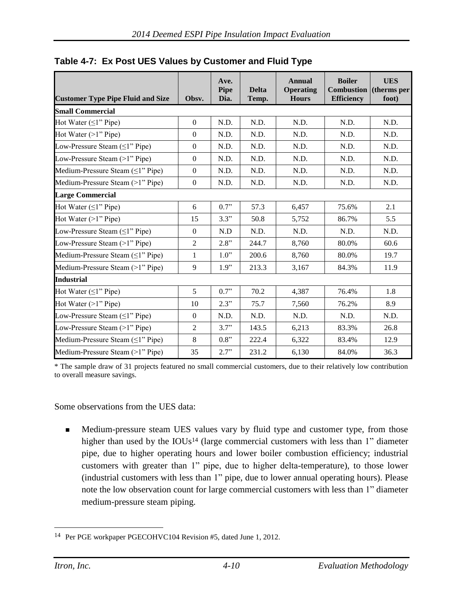| <b>Customer Type Pipe Fluid and Size</b> | Obsv.            | Ave.<br><b>Pipe</b><br>Dia. | <b>Delta</b><br>Temp. | <b>Annual</b><br><b>Operating</b><br><b>Hours</b> | <b>Boiler</b><br><b>Combustion</b> (therms per<br><b>Efficiency</b> | <b>UES</b><br>foot) |
|------------------------------------------|------------------|-----------------------------|-----------------------|---------------------------------------------------|---------------------------------------------------------------------|---------------------|
| <b>Small Commercial</b>                  |                  |                             |                       |                                                   |                                                                     |                     |
| Hot Water $(\leq l$ " Pipe)              | $\boldsymbol{0}$ | N.D.                        | N.D.                  | N.D.                                              | N.D.                                                                | N.D.                |
| Hot Water $(>1$ " Pipe)                  | $\boldsymbol{0}$ | N.D.                        | N.D.                  | N.D.                                              | N.D.                                                                | N.D.                |
| Low-Pressure Steam $(\leq 1$ " Pipe)     | $\overline{0}$   | N.D.                        | N.D.                  | N.D.                                              | N.D.                                                                | N.D.                |
| Low-Pressure Steam (>1" Pipe)            | $\theta$         | N.D.                        | N.D.                  | N.D.                                              | N.D.                                                                | N.D.                |
| Medium-Pressure Steam $(\leq 1$ " Pipe)  | $\mathbf{0}$     | N.D.                        | N.D.                  | N.D.                                              | N.D.                                                                | N.D.                |
| Medium-Pressure Steam (>1" Pipe)         | $\boldsymbol{0}$ | N.D.                        | N.D.                  | N.D.                                              | N.D.                                                                | N.D.                |
| <b>Large Commercial</b>                  |                  |                             |                       |                                                   |                                                                     |                     |
| Hot Water $(\leq l$ " Pipe)              | 6                | 0.7"                        | 57.3                  | 6,457                                             | 75.6%                                                               | 2.1                 |
| Hot Water $(>1"$ Pipe)                   | 15               | 3.3"                        | 50.8                  | 5,752                                             | 86.7%                                                               | 5.5                 |
| Low-Pressure Steam $(\leq 1$ " Pipe)     | $\boldsymbol{0}$ | N.D                         | N.D.                  | N.D.                                              | N.D.                                                                | N.D.                |
| Low-Pressure Steam (>1" Pipe)            | $\overline{2}$   | 2.8"                        | 244.7                 | 8,760                                             | 80.0%                                                               | 60.6                |
| Medium-Pressure Steam (<1" Pipe)         | $\mathbf{1}$     | 1.0"                        | 200.6                 | 8,760                                             | 80.0%                                                               | 19.7                |
| Medium-Pressure Steam (>1" Pipe)         | 9                | 1.9"                        | 213.3                 | 3,167                                             | 84.3%                                                               | 11.9                |
| <b>Industrial</b>                        |                  |                             |                       |                                                   |                                                                     |                     |
| Hot Water $(\leq l$ " Pipe)              | 5                | 0.7"                        | 70.2                  | 4,387                                             | 76.4%                                                               | 1.8                 |
| Hot Water $(>1"$ Pipe)                   | 10               | 2.3"                        | 75.7                  | 7,560                                             | 76.2%                                                               | 8.9                 |
| Low-Pressure Steam $(\leq 1$ " Pipe)     | $\boldsymbol{0}$ | N.D.                        | N.D.                  | N.D.                                              | N.D.                                                                | N.D.                |
| Low-Pressure Steam $(>1"$ Pipe)          | $\overline{2}$   | 3.7"                        | 143.5                 | 6,213                                             | 83.3%                                                               | 26.8                |
| Medium-Pressure Steam $(\leq 1$ " Pipe)  | 8                | 0.8"                        | 222.4                 | 6,322                                             | 83.4%                                                               | 12.9                |
| Medium-Pressure Steam (>1" Pipe)         | 35               | 2.7"                        | 231.2                 | 6,130                                             | 84.0%                                                               | 36.3                |

<span id="page-26-0"></span>**Table 4-7: Ex Post UES Values by Customer and Fluid Type** 

\* The sample draw of 31 projects featured no small commercial customers, due to their relatively low contribution to overall measure savings.

Some observations from the UES data:

**Medium-pressure steam UES values vary by fluid type and customer type, from those** higher than used by the  $IOUs<sup>14</sup>$  (large commercial customers with less than 1" diameter pipe, due to higher operating hours and lower boiler combustion efficiency; industrial customers with greater than 1" pipe, due to higher delta-temperature), to those lower (industrial customers with less than 1" pipe, due to lower annual operating hours). Please note the low observation count for large commercial customers with less than 1" diameter medium-pressure steam piping.

 $\overline{a}$ 14 Per PGE workpaper PGECOHVC104 Revision #5, dated June 1, 2012.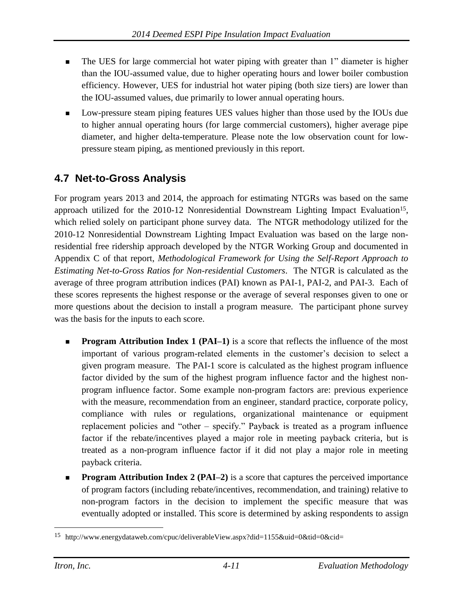- The UES for large commercial hot water piping with greater than 1" diameter is higher than the IOU-assumed value, due to higher operating hours and lower boiler combustion efficiency. However, UES for industrial hot water piping (both size tiers) are lower than the IOU-assumed values, due primarily to lower annual operating hours.
- Low-pressure steam piping features UES values higher than those used by the IOUs due to higher annual operating hours (for large commercial customers), higher average pipe diameter, and higher delta-temperature. Please note the low observation count for lowpressure steam piping, as mentioned previously in this report.

# <span id="page-27-0"></span>**4.7 Net-to-Gross Analysis**

For program years 2013 and 2014, the approach for estimating NTGRs was based on the same approach utilized for the 2010-12 Nonresidential Downstream Lighting Impact Evaluation<sup>15</sup>, which relied solely on participant phone survey data. The NTGR methodology utilized for the 2010-12 Nonresidential Downstream Lighting Impact Evaluation was based on the large nonresidential free ridership approach developed by the NTGR Working Group and documented in Appendix C of that report, *Methodological Framework for Using the Self-Report Approach to Estimating Net-to-Gross Ratios for Non-residential Customers*. The NTGR is calculated as the average of three program attribution indices (PAI) known as PAI-1, PAI-2, and PAI-3. Each of these scores represents the highest response or the average of several responses given to one or more questions about the decision to install a program measure. The participant phone survey was the basis for the inputs to each score.

- **Program Attribution Index 1 (PAI–1)** is a score that reflects the influence of the most important of various program-related elements in the customer's decision to select a given program measure. The PAI-1 score is calculated as the highest program influence factor divided by the sum of the highest program influence factor and the highest nonprogram influence factor. Some example non-program factors are: previous experience with the measure, recommendation from an engineer, standard practice, corporate policy, compliance with rules or regulations, organizational maintenance or equipment replacement policies and "other – specify." Payback is treated as a program influence factor if the rebate/incentives played a major role in meeting payback criteria, but is treated as a non-program influence factor if it did not play a major role in meeting payback criteria.
- **Program Attribution Index 2 (PAI–2)** is a score that captures the perceived importance of program factors (including rebate/incentives, recommendation, and training) relative to non-program factors in the decision to implement the specific measure that was eventually adopted or installed. This score is determined by asking respondents to assign

<sup>15</sup> http://www.energydataweb.com/cpuc/deliverableView.aspx?did=1155&uid=0&tid=0&cid=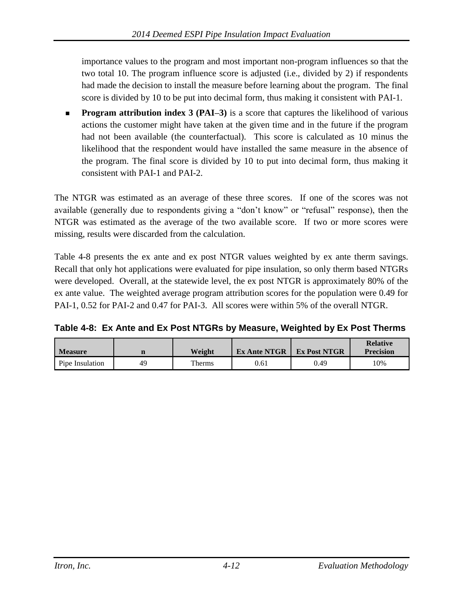importance values to the program and most important non-program influences so that the two total 10. The program influence score is adjusted (i.e., divided by 2) if respondents had made the decision to install the measure before learning about the program. The final score is divided by 10 to be put into decimal form, thus making it consistent with PAI-1.

**Program attribution index 3 (PAI–3)** is a score that captures the likelihood of various actions the customer might have taken at the given time and in the future if the program had not been available (the counterfactual). This score is calculated as 10 minus the likelihood that the respondent would have installed the same measure in the absence of the program. The final score is divided by 10 to put into decimal form, thus making it consistent with PAI-1 and PAI-2.

The NTGR was estimated as an average of these three scores. If one of the scores was not available (generally due to respondents giving a "don't know" or "refusal" response), then the NTGR was estimated as the average of the two available score. If two or more scores were missing, results were discarded from the calculation.

[Table 4-8](#page-28-0) presents the ex ante and ex post NTGR values weighted by ex ante therm savings. Recall that only hot applications were evaluated for pipe insulation, so only therm based NTGRs were developed. Overall, at the statewide level, the ex post NTGR is approximately 80% of the ex ante value. The weighted average program attribution scores for the population were 0.49 for PAI-1, 0.52 for PAI-2 and 0.47 for PAI-3. All scores were within 5% of the overall NTGR.

<span id="page-28-0"></span>**Table 4-8: Ex Ante and Ex Post NTGRs by Measure, Weighted by Ex Post Therms**

| <b>Measure</b>  | n  | Weight | <b>Ex Ante NTGR</b> | <b>Ex Post NTGR</b> | <b>Relative</b><br><b>Precision</b> |
|-----------------|----|--------|---------------------|---------------------|-------------------------------------|
| Pipe Insulation | 49 | Therms | 0.61                | 0.49                | 10%                                 |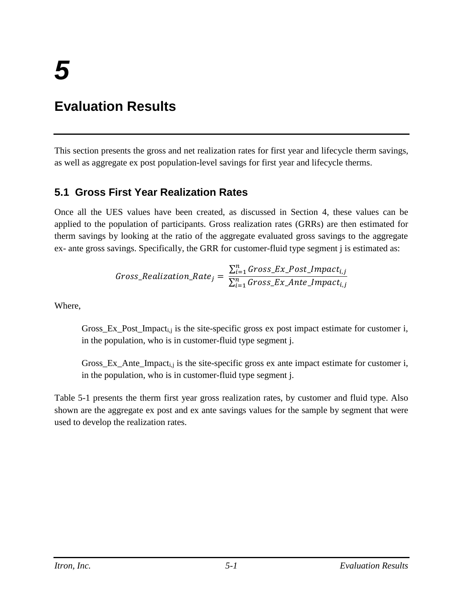# <span id="page-29-0"></span>**Evaluation Results**

This section presents the gross and net realization rates for first year and lifecycle therm savings, as well as aggregate ex post population-level savings for first year and lifecycle therms.

### <span id="page-29-1"></span>**5.1 Gross First Year Realization Rates**

Once all the UES values have been created, as discussed in Section 4, these values can be applied to the population of participants. Gross realization rates (GRRs) are then estimated for therm savings by looking at the ratio of the aggregate evaluated gross savings to the aggregate ex- ante gross savings. Specifically, the GRR for customer-fluid type segment j is estimated as:

$$
Gross\_Realization\_Rate_j = \frac{\sum_{i=1}^{n} Gross\_Ex\_Post\_Import_{i,j}}{\sum_{i=1}^{n} Gross\_Ex\_Ante\_Import_{i,j}}
$$

Where,

Gross\_Ex\_Post\_Impact<sub>i,j</sub> is the site-specific gross ex post impact estimate for customer i, in the population, who is in customer-fluid type segment j.

Gross\_Ex\_Ante\_Impacti,j is the site-specific gross ex ante impact estimate for customer i, in the population, who is in customer-fluid type segment j.

[Table 5-1](#page-30-0) presents the therm first year gross realization rates, by customer and fluid type. Also shown are the aggregate ex post and ex ante savings values for the sample by segment that were used to develop the realization rates.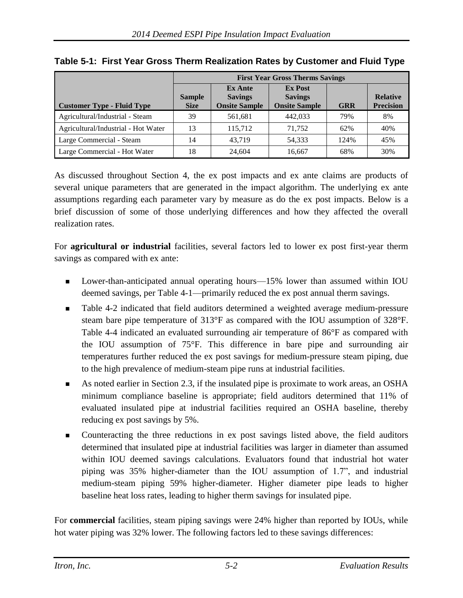|                                     | <b>First Year Gross Therms Savings</b> |                                                          |                                                          |            |                                     |  |  |
|-------------------------------------|----------------------------------------|----------------------------------------------------------|----------------------------------------------------------|------------|-------------------------------------|--|--|
| <b>Customer Type - Fluid Type</b>   | <b>Sample</b><br><b>Size</b>           | <b>Ex Ante</b><br><b>Savings</b><br><b>Onsite Sample</b> | <b>Ex Post</b><br><b>Savings</b><br><b>Onsite Sample</b> | <b>GRR</b> | <b>Relative</b><br><b>Precision</b> |  |  |
| Agricultural/Industrial - Steam     | 39                                     | 561,681                                                  | 442.033                                                  | 79%        | 8%                                  |  |  |
| Agricultural/Industrial - Hot Water | 13                                     | 115.712                                                  | 71.752                                                   | 62%        | 40%                                 |  |  |
| Large Commercial - Steam            | 14                                     | 43.719                                                   | 54,333                                                   | 124%       | 45%                                 |  |  |
| Large Commercial - Hot Water        | 18                                     | 24,604                                                   | 16,667                                                   | 68%        | 30%                                 |  |  |

#### <span id="page-30-0"></span>**Table 5-1: First Year Gross Therm Realization Rates by Customer and Fluid Type**

As discussed throughout Section 4, the ex post impacts and ex ante claims are products of several unique parameters that are generated in the impact algorithm. The underlying ex ante assumptions regarding each parameter vary by measure as do the ex post impacts. Below is a brief discussion of some of those underlying differences and how they affected the overall realization rates.

For **agricultural or industrial** facilities, several factors led to lower ex post first-year therm savings as compared with ex ante:

- Lower-than-anticipated annual operating hours—15% lower than assumed within IOU deemed savings, per [Table 4-1—](#page-21-0)primarily reduced the ex post annual therm savings.
- [Table 4-2](#page-22-2) indicated that field auditors determined a weighted average medium-pressure steam bare pipe temperature of 313°F as compared with the IOU assumption of 328°F. [Table 4-4](#page-24-0) indicated an evaluated surrounding air temperature of 86°F as compared with the IOU assumption of 75°F. This difference in bare pipe and surrounding air temperatures further reduced the ex post savings for medium-pressure steam piping, due to the high prevalence of medium-steam pipe runs at industrial facilities.
- As noted earlier in Section 2.3, if the insulated pipe is proximate to work areas, an OSHA minimum compliance baseline is appropriate; field auditors determined that 11% of evaluated insulated pipe at industrial facilities required an OSHA baseline, thereby reducing ex post savings by 5%.
- Counteracting the three reductions in ex post savings listed above, the field auditors determined that insulated pipe at industrial facilities was larger in diameter than assumed within IOU deemed savings calculations. Evaluators found that industrial hot water piping was 35% higher-diameter than the IOU assumption of 1.7", and industrial medium-steam piping 59% higher-diameter. Higher diameter pipe leads to higher baseline heat loss rates, leading to higher therm savings for insulated pipe.

For **commercial** facilities, steam piping savings were 24% higher than reported by IOUs, while hot water piping was 32% lower. The following factors led to these savings differences: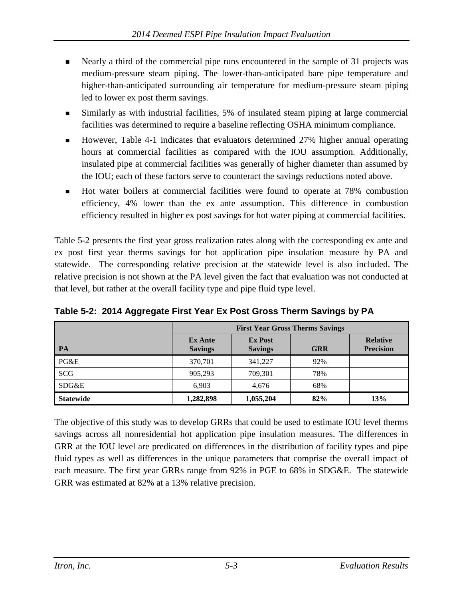- Nearly a third of the commercial pipe runs encountered in the sample of 31 projects was medium-pressure steam piping. The lower-than-anticipated bare pipe temperature and higher-than-anticipated surrounding air temperature for medium-pressure steam piping led to lower ex post therm savings.
- Similarly as with industrial facilities, 5% of insulated steam piping at large commercial facilities was determined to require a baseline reflecting OSHA minimum compliance.
- However, [Table 4-1](#page-21-0) indicates that evaluators determined 27% higher annual operating hours at commercial facilities as compared with the IOU assumption. Additionally, insulated pipe at commercial facilities was generally of higher diameter than assumed by the IOU; each of these factors serve to counteract the savings reductions noted above.
- Hot water boilers at commercial facilities were found to operate at 78% combustion efficiency, 4% lower than the ex ante assumption. This difference in combustion efficiency resulted in higher ex post savings for hot water piping at commercial facilities.

[Table 5-2](#page-31-0) presents the first year gross realization rates along with the corresponding ex ante and ex post first year therms savings for hot application pipe insulation measure by PA and statewide. The corresponding relative precision at the statewide level is also included. The relative precision is not shown at the PA level given the fact that evaluation was not conducted at that level, but rather at the overall facility type and pipe fluid type level.

|                  | <b>First Year Gross Therms Savings</b> |                                  |            |                                     |  |
|------------------|----------------------------------------|----------------------------------|------------|-------------------------------------|--|
| PA               | <b>Ex Ante</b><br><b>Savings</b>       | <b>Ex Post</b><br><b>Savings</b> | <b>GRR</b> | <b>Relative</b><br><b>Precision</b> |  |
| PG&E             | 370,701                                | 341,227                          | 92%        |                                     |  |
| <b>SCG</b>       | 905,293                                | 709,301                          | 78%        |                                     |  |
| SDG&E            | 6,903                                  | 4,676                            | 68%        |                                     |  |
| <b>Statewide</b> | 1,282,898                              | 1,055,204                        | 82%        | 13%                                 |  |

<span id="page-31-0"></span>**Table 5-2: 2014 Aggregate First Year Ex Post Gross Therm Savings by PA**

The objective of this study was to develop GRRs that could be used to estimate IOU level therms savings across all nonresidential hot application pipe insulation measures. The differences in GRR at the IOU level are predicated on differences in the distribution of facility types and pipe fluid types as well as differences in the unique parameters that comprise the overall impact of each measure. The first year GRRs range from 92% in PGE to 68% in SDG&E. The statewide GRR was estimated at 82% at a 13% relative precision.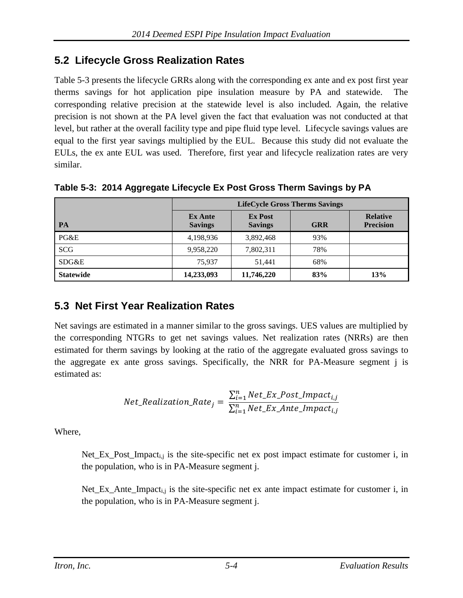## <span id="page-32-0"></span>**5.2 Lifecycle Gross Realization Rates**

[Table 5-3](#page-32-2) presents the lifecycle GRRs along with the corresponding ex ante and ex post first year therms savings for hot application pipe insulation measure by PA and statewide. The corresponding relative precision at the statewide level is also included. Again, the relative precision is not shown at the PA level given the fact that evaluation was not conducted at that level, but rather at the overall facility type and pipe fluid type level. Lifecycle savings values are equal to the first year savings multiplied by the EUL. Because this study did not evaluate the EULs, the ex ante EUL was used. Therefore, first year and lifecycle realization rates are very similar.

<span id="page-32-2"></span>**Table 5-3: 2014 Aggregate Lifecycle Ex Post Gross Therm Savings by PA**

|                  | <b>LifeCycle Gross Therms Savings</b> |                                  |            |                                     |  |
|------------------|---------------------------------------|----------------------------------|------------|-------------------------------------|--|
| PA               | <b>Ex Ante</b><br><b>Savings</b>      | <b>Ex Post</b><br><b>Savings</b> | <b>GRR</b> | <b>Relative</b><br><b>Precision</b> |  |
| PG&E             | 4,198,936                             | 3,892,468                        | 93%        |                                     |  |
| <b>SCG</b>       | 9,958,220                             | 7,802,311                        | 78%        |                                     |  |
| SDG&E            | 75.937                                | 51.441                           | 68%        |                                     |  |
| <b>Statewide</b> | 14,233,093                            | 11,746,220                       | 83%        | 13%                                 |  |

## <span id="page-32-1"></span>**5.3 Net First Year Realization Rates**

Net savings are estimated in a manner similar to the gross savings. UES values are multiplied by the corresponding NTGRs to get net savings values. Net realization rates (NRRs) are then estimated for therm savings by looking at the ratio of the aggregate evaluated gross savings to the aggregate ex ante gross savings. Specifically, the NRR for PA-Measure segment j is estimated as:

Net\_Realization\_Rate<sub>j</sub> = 
$$
\frac{\sum_{i=1}^{n} Net\_Ex\_Post\_Import_{i,j}}{\sum_{i=1}^{n} Net\_Ex\_Ante\_Import_{i,j}}
$$

Where,

Net\_Ex\_Post\_Impact<sub>i,j</sub> is the site-specific net ex post impact estimate for customer i, in the population, who is in PA-Measure segment j.

Net\_Ex\_Ante\_Impact<sub>i,j</sub> is the site-specific net ex ante impact estimate for customer i, in the population, who is in PA-Measure segment j.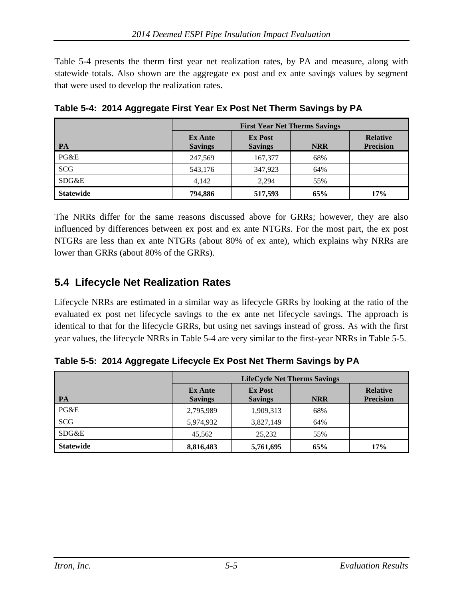[Table 5-4](#page-33-1) presents the therm first year net realization rates, by PA and measure, along with statewide totals. Also shown are the aggregate ex post and ex ante savings values by segment that were used to develop the realization rates.

|                  | <b>First Year Net Therms Savings</b> |                                  |            |                                     |  |  |
|------------------|--------------------------------------|----------------------------------|------------|-------------------------------------|--|--|
| PA               | <b>Ex Ante</b><br><b>Savings</b>     | <b>Ex Post</b><br><b>Savings</b> | <b>NRR</b> | <b>Relative</b><br><b>Precision</b> |  |  |
| PG&E             | 247.569                              | 167,377                          | 68%        |                                     |  |  |
| <b>SCG</b>       | 543,176                              | 347,923                          | 64%        |                                     |  |  |
| SDG&E            | 4,142                                | 2.294                            | 55%        |                                     |  |  |
| <b>Statewide</b> | 794,886                              | 517,593                          | 65%        | 17%                                 |  |  |

<span id="page-33-1"></span>**Table 5-4: 2014 Aggregate First Year Ex Post Net Therm Savings by PA**

The NRRs differ for the same reasons discussed above for GRRs; however, they are also influenced by differences between ex post and ex ante NTGRs. For the most part, the ex post NTGRs are less than ex ante NTGRs (about 80% of ex ante), which explains why NRRs are lower than GRRs (about 80% of the GRRs).

### <span id="page-33-0"></span>**5.4 Lifecycle Net Realization Rates**

Lifecycle NRRs are estimated in a similar way as lifecycle GRRs by looking at the ratio of the evaluated ex post net lifecycle savings to the ex ante net lifecycle savings. The approach is identical to that for the lifecycle GRRs, but using net savings instead of gross. As with the first year values, the lifecycle NRRs in [Table 5-4](#page-33-1) are very similar to the first-year NRRs in [Table 5-5.](#page-33-2)

**PA LifeCycle Net Therms Savings Ex Ante Savings Ex Post Savings NRR Relative Precision** PG&E 2,795,989 1,909,313 68%  $SCG$  5,974,932 3,827,149 64% SDG&E 15,562 25,232 55% **Statewide 8,816,483 5,761,695 65% 17%**

<span id="page-33-2"></span>**Table 5-5: 2014 Aggregate Lifecycle Ex Post Net Therm Savings by PA**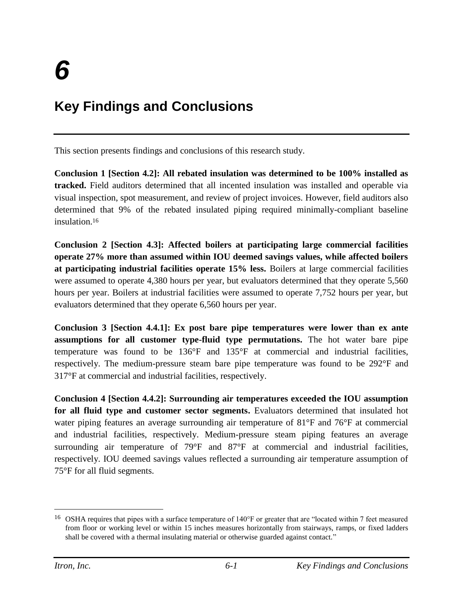# <span id="page-34-0"></span>**Key Findings and Conclusions**

This section presents findings and conclusions of this research study.

**Conclusion 1 [Section 4.2]: All rebated insulation was determined to be 100% installed as tracked.** Field auditors determined that all incented insulation was installed and operable via visual inspection, spot measurement, and review of project invoices. However, field auditors also determined that 9% of the rebated insulated piping required minimally-compliant baseline insulation. 16

**Conclusion 2 [Section 4.3]: Affected boilers at participating large commercial facilities operate 27% more than assumed within IOU deemed savings values, while affected boilers at participating industrial facilities operate 15% less.** Boilers at large commercial facilities were assumed to operate 4,380 hours per year, but evaluators determined that they operate 5,560 hours per year. Boilers at industrial facilities were assumed to operate 7,752 hours per year, but evaluators determined that they operate 6,560 hours per year.

**Conclusion 3 [Section 4.4.1]: Ex post bare pipe temperatures were lower than ex ante assumptions for all customer type-fluid type permutations.** The hot water bare pipe temperature was found to be 136°F and 135°F at commercial and industrial facilities, respectively. The medium-pressure steam bare pipe temperature was found to be 292°F and 317°F at commercial and industrial facilities, respectively.

**Conclusion 4 [Section 4.4.2]: Surrounding air temperatures exceeded the IOU assumption for all fluid type and customer sector segments.** Evaluators determined that insulated hot water piping features an average surrounding air temperature of 81°F and 76°F at commercial and industrial facilities, respectively. Medium-pressure steam piping features an average surrounding air temperature of 79°F and 87°F at commercial and industrial facilities, respectively. IOU deemed savings values reflected a surrounding air temperature assumption of 75°F for all fluid segments.

<sup>16</sup> OSHA requires that pipes with a surface temperature of 140°F or greater that are "located within 7 feet measured from floor or working level or within 15 inches measures horizontally from stairways, ramps, or fixed ladders shall be covered with a thermal insulating material or otherwise guarded against contact."